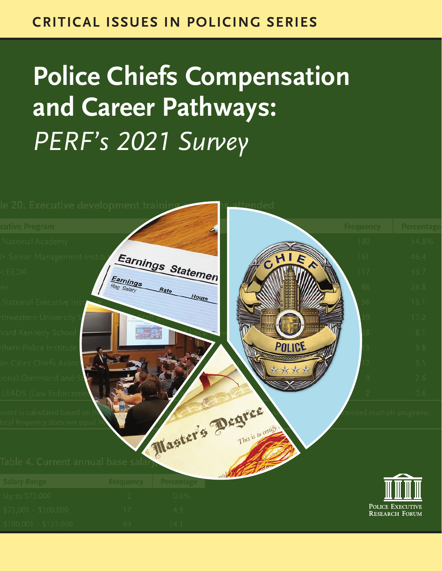### **CRITICAL ISSUES IN POLICING SERIES**

# **Police Chiefs Compensation and Career Pathways:** *PERF's 2021 Survey*

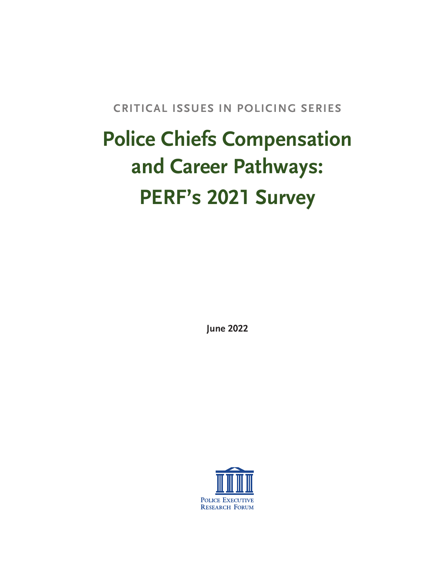**CRITICAL ISSUES IN POLICING SERIES**

# **Police Chiefs Compensation and Career Pathways: PERF's 2021 Survey**

**June 2022**

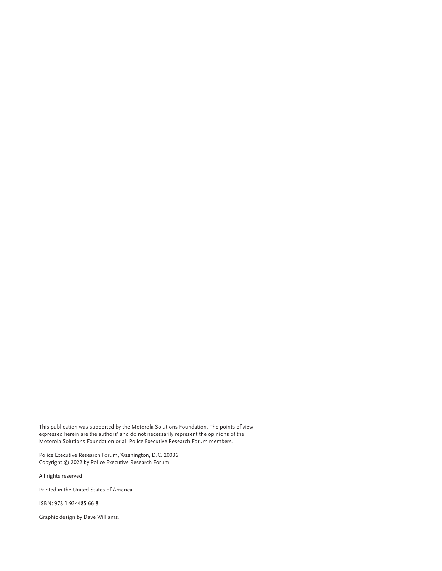This publication was supported by the Motorola Solutions Foundation. The points of view expressed herein are the authors' and do not necessarily represent the opinions of the Motorola Solutions Foundation or all Police Executive Research Forum members.

Police Executive Research Forum, Washington, D.C. 20036 Copyright © 2022 by Police Executive Research Forum

All rights reserved

Printed in the United States of America

ISBN: 978-1-934485-66-8

Graphic design by Dave Williams.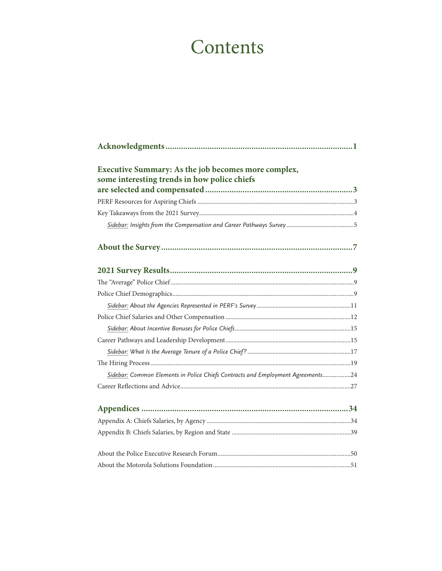# **Contents**

| Executive Summary: As the job becomes more complex,<br>some interesting trends in how police chiefs |  |
|-----------------------------------------------------------------------------------------------------|--|
|                                                                                                     |  |
|                                                                                                     |  |
|                                                                                                     |  |
|                                                                                                     |  |
|                                                                                                     |  |
|                                                                                                     |  |
|                                                                                                     |  |
|                                                                                                     |  |
|                                                                                                     |  |
|                                                                                                     |  |
|                                                                                                     |  |
|                                                                                                     |  |
|                                                                                                     |  |
| Sidebar: Common Elements in Police Chiefs Contracts and Employment Agreements24                     |  |
|                                                                                                     |  |
|                                                                                                     |  |
|                                                                                                     |  |
|                                                                                                     |  |
|                                                                                                     |  |
|                                                                                                     |  |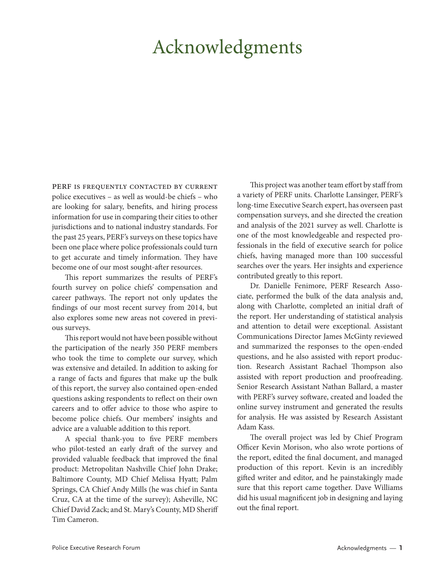# Acknowledgments

PERF IS FREQUENTLY CONTACTED BY CURRENT police executives – as well as would-be chiefs – who are looking for salary, benefits, and hiring process information for use in comparing their cities to other jurisdictions and to national industry standards. For the past 25 years, PERF's surveys on these topics have been one place where police professionals could turn to get accurate and timely information. They have become one of our most sought-after resources.

This report summarizes the results of PERF's fourth survey on police chiefs' compensation and career pathways. The report not only updates the findings of our most recent survey from 2014, but also explores some new areas not covered in previous surveys.

This report would not have been possible without the participation of the nearly 350 PERF members who took the time to complete our survey, which was extensive and detailed. In addition to asking for a range of facts and figures that make up the bulk of this report, the survey also contained open-ended questions asking respondents to reflect on their own careers and to offer advice to those who aspire to become police chiefs. Our members' insights and advice are a valuable addition to this report.

A special thank-you to five PERF members who pilot-tested an early draft of the survey and provided valuable feedback that improved the final product: Metropolitan Nashville Chief John Drake; Baltimore County, MD Chief Melissa Hyatt; Palm Springs, CA Chief Andy Mills (he was chief in Santa Cruz, CA at the time of the survey); Asheville, NC Chief David Zack; and St. Mary's County, MD Sheriff Tim Cameron.

This project was another team effort by staff from a variety of PERF units. Charlotte Lansinger, PERF's long-time Executive Search expert, has overseen past compensation surveys, and she directed the creation and analysis of the 2021 survey as well. Charlotte is one of the most knowledgeable and respected professionals in the field of executive search for police chiefs, having managed more than 100 successful searches over the years. Her insights and experience contributed greatly to this report.

Dr. Danielle Fenimore, PERF Research Associate, performed the bulk of the data analysis and, along with Charlotte, completed an initial draft of the report. Her understanding of statistical analysis and attention to detail were exceptional. Assistant Communications Director James McGinty reviewed and summarized the responses to the open-ended questions, and he also assisted with report production. Research Assistant Rachael Thompson also assisted with report production and proofreading. Senior Research Assistant Nathan Ballard, a master with PERF's survey software, created and loaded the online survey instrument and generated the results for analysis. He was assisted by Research Assistant Adam Kass.

The overall project was led by Chief Program Officer Kevin Morison, who also wrote portions of the report, edited the final document, and managed production of this report. Kevin is an incredibly gifted writer and editor, and he painstakingly made sure that this report came together. Dave Williams did his usual magnificent job in designing and laying out the final report.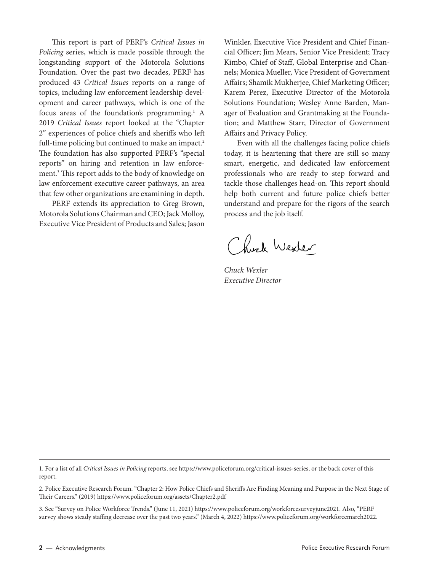This report is part of PERF's *Critical Issues in Policing* series, which is made possible through the longstanding support of the Motorola Solutions Foundation. Over the past two decades, PERF has produced 43 *Critical Issues* reports on a range of topics, including law enforcement leadership development and career pathways, which is one of the focus areas of the foundation's programming.<sup>1</sup> A 2019 *Critical Issues* report looked at the "Chapter 2" experiences of police chiefs and sheriffs who left full-time policing but continued to make an impact.<sup>2</sup> The foundation has also supported PERF's "special reports" on hiring and retention in law enforcement.3 This report adds to the body of knowledge on law enforcement executive career pathways, an area that few other organizations are examining in depth.

PERF extends its appreciation to Greg Brown, Motorola Solutions Chairman and CEO; Jack Molloy, Executive Vice President of Products and Sales; Jason

Winkler, Executive Vice President and Chief Financial Officer; Jim Mears, Senior Vice President; Tracy Kimbo, Chief of Staff, Global Enterprise and Channels; Monica Mueller, Vice President of Government Affairs; Shamik Mukherjee, Chief Marketing Officer; Karem Perez, Executive Director of the Motorola Solutions Foundation; Wesley Anne Barden, Manager of Evaluation and Grantmaking at the Foundation; and Matthew Starr, Director of Government Affairs and Privacy Policy.

Even with all the challenges facing police chiefs today, it is heartening that there are still so many smart, energetic, and dedicated law enforcement professionals who are ready to step forward and tackle those challenges head-on. This report should help both current and future police chiefs better understand and prepare for the rigors of the search process and the job itself.

Chick Wexter

*Chuck Wexler Executive Director*

1. For a list of all *Critical Issues in Policing* reports, see <https://www.policeforum.org/critical-issues-series>, or the back cover of this report.

2. Police Executive Research Forum. "Chapter 2: How Police Chiefs and Sheriffs Are Finding Meaning and Purpose in the Next Stage of Their Careers." (2019) <https://www.policeforum.org/assets/Chapter2.pdf>

3. See "Survey on Police Workforce Trends." (June 11, 2021) <https://www.policeforum.org/workforcesurveyjune2021>. Also, "PERF survey shows steady staffing decrease over the past two years." (March 4, 2022)<https://www.policeforum.org/workforcemarch2022>.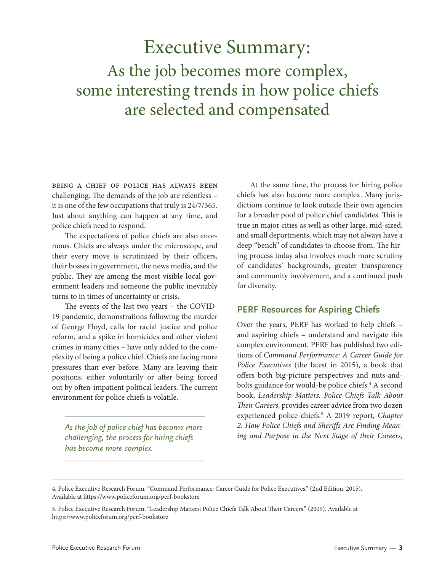# Executive Summary: As the job becomes more complex, some interesting trends in how police chiefs are selected and compensated

Being a chief of police has always been challenging. The demands of the job are relentless – it is one of the few occupations that truly is 24/7/365. Just about anything can happen at any time, and police chiefs need to respond.

The expectations of police chiefs are also enormous. Chiefs are always under the microscope, and their every move is scrutinized by their officers, their bosses in government, the news media, and the public. They are among the most visible local government leaders and someone the public inevitably turns to in times of uncertainty or crisis.

The events of the last two years – the COVID-19 pandemic, demonstrations following the murder of George Floyd, calls for racial justice and police reform, and a spike in homicides and other violent crimes in many cities – have only added to the complexity of being a police chief. Chiefs are facing more pressures than ever before. Many are leaving their positions, either voluntarily or after being forced out by often-impatient political leaders. The current environment for police chiefs is volatile.

*As the job of police chief has become more challenging, the process for hiring chiefs has become more complex.*

At the same time, the process for hiring police chiefs has also become more complex. Many jurisdictions continue to look outside their own agencies for a broader pool of police chief candidates. This is true in major cities as well as other large, mid-sized, and small departments, which may not always have a deep "bench" of candidates to choose from. The hiring process today also involves much more scrutiny of candidates' backgrounds, greater transparency and community involvement, and a continued push for diversity.

#### **PERF Resources for Aspiring Chiefs**

Over the years, PERF has worked to help chiefs – and aspiring chiefs – understand and navigate this complex environment. PERF has published two editions of *Command Performance: A Career Guide for Police Executives* (the latest in 2015), a book that offers both big-picture perspectives and nuts-andbolts guidance for would-be police chiefs.<sup>4</sup> A second book, *Leadership Matters: Police Chiefs Talk About Their Careers,* provides career advice from two dozen experienced police chiefs.5 A 2019 report, *Chapter 2: How Police Chiefs and Sheriffs Are Finding Meaning and Purpose in the Next Stage of their Careers,*

<sup>4.</sup> Police Executive Research Forum. "Command Performance: Career Guide for Police Executives." (2nd Edition, 2015). Available at <https://www.policeforum.org/perf-bookstore>

<sup>5.</sup> Police Executive Research Forum. "Leadership Matters: Police Chiefs Talk About Their Careers." (2009). Available at <https://www.policeforum.org/perf-bookstore>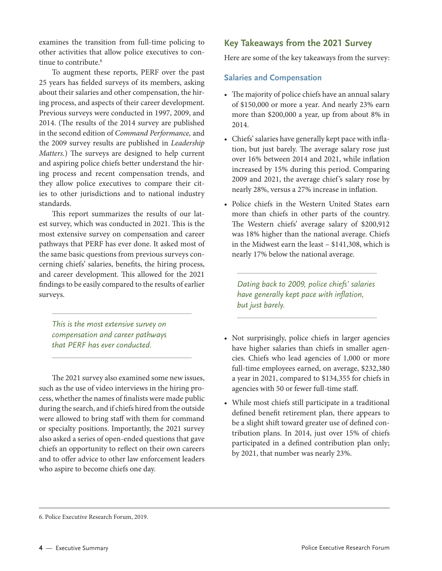examines the transition from full-time policing to other activities that allow police executives to continue to contribute.<sup>6</sup>

To augment these reports, PERF over the past 25 years has fielded surveys of its members, asking about their salaries and other compensation, the hiring process, and aspects of their career development. Previous surveys were conducted in 1997, 2009, and 2014. (The results of the 2014 survey are published in the second edition of *Command Performance,* and the 2009 survey results are published in *Leadership Matters.*) The surveys are designed to help current and aspiring police chiefs better understand the hiring process and recent compensation trends, and they allow police executives to compare their cities to other jurisdictions and to national industry standards.

This report summarizes the results of our latest survey, which was conducted in 2021. This is the most extensive survey on compensation and career pathways that PERF has ever done. It asked most of the same basic questions from previous surveys concerning chiefs' salaries, benefits, the hiring process, and career development. This allowed for the 2021 findings to be easily compared to the results of earlier surveys.

*This is the most extensive survey on compensation and career pathways that PERF has ever conducted.*

The 2021 survey also examined some new issues, such as the use of video interviews in the hiring process, whether the names of finalists were made public during the search, and if chiefs hired from the outside were allowed to bring staff with them for command or specialty positions. Importantly, the 2021 survey also asked a series of open-ended questions that gave chiefs an opportunity to reflect on their own careers and to offer advice to other law enforcement leaders who aspire to become chiefs one day.

#### **Key Takeaways from the 2021 Survey**

Here are some of the key takeaways from the survey:

#### **Salaries and Compensation**

- The majority of police chiefs have an annual salary of \$150,000 or more a year. And nearly 23% earn more than \$200,000 a year, up from about 8% in 2014.
- Chiefs' salaries have generally kept pace with inflation, but just barely. The average salary rose just over 16% between 2014 and 2021, while inflation increased by 15% during this period. Comparing 2009 and 2021, the average chief 's salary rose by nearly 28%, versus a 27% increase in inflation.
- Police chiefs in the Western United States earn more than chiefs in other parts of the country. The Western chiefs' average salary of \$200,912 was 18% higher than the national average. Chiefs in the Midwest earn the least – \$141,308, which is nearly 17% below the national average.

*Dating back to 2009, police chiefs' salaries have generally kept pace with inflation, but just barely.*

- Not surprisingly, police chiefs in larger agencies have higher salaries than chiefs in smaller agencies. Chiefs who lead agencies of 1,000 or more full-time employees earned, on average, \$232,380 a year in 2021, compared to \$134,355 for chiefs in agencies with 50 or fewer full-time staff.
- While most chiefs still participate in a traditional defined benefit retirement plan, there appears to be a slight shift toward greater use of defined contribution plans. In 2014, just over 15% of chiefs participated in a defined contribution plan only; by 2021, that number was nearly 23%.

<sup>6.</sup> Police Executive Research Forum, 2019.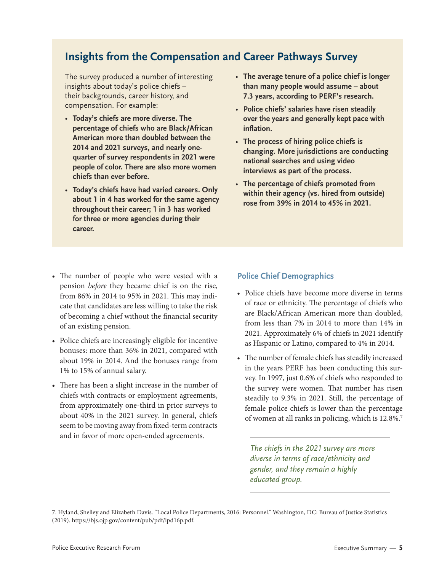### **Insights from the Compensation and Career Pathways Survey**

The survey produced a number of interesting insights about today's police chiefs – their backgrounds, career history, and compensation. For example:

- **Today's chiefs are more diverse. The percentage of chiefs who are Black/African American more than doubled between the 2014 and 2021 surveys, and nearly onequarter of survey respondents in 2021 were people of color. There are also more women chiefs than ever before.**
- **Today's chiefs have had varied careers. Only about 1 in 4 has worked for the same agency throughout their career; 1 in 3 has worked for three or more agencies during their career.**
- **The average tenure of a police chief is longer than many people would assume – about 7.3 years, according to PERF's research.**
- **Police chiefs' salaries have risen steadily over the years and generally kept pace with inflation.**
- **The process of hiring police chiefs is changing. More jurisdictions are conducting national searches and using video interviews as part of the process.**
- **The percentage of chiefs promoted from within their agency (vs. hired from outside) rose from 39% in 2014 to 45% in 2021.**

- The number of people who were vested with a pension *before* they became chief is on the rise, from 86% in 2014 to 95% in 2021. This may indicate that candidates are less willing to take the risk of becoming a chief without the financial security of an existing pension.
- Police chiefs are increasingly eligible for incentive bonuses: more than 36% in 2021, compared with about 19% in 2014. And the bonuses range from 1% to 15% of annual salary.
- There has been a slight increase in the number of chiefs with contracts or employment agreements, from approximately one-third in prior surveys to about 40% in the 2021 survey. In general, chiefs seem to be moving away from fixed-term contracts and in favor of more open-ended agreements.

#### **Police Chief Demographics**

- Police chiefs have become more diverse in terms of race or ethnicity. The percentage of chiefs who are Black/African American more than doubled, from less than 7% in 2014 to more than 14% in 2021. Approximately 6% of chiefs in 2021 identify as Hispanic or Latino, compared to 4% in 2014.
- The number of female chiefs has steadily increased in the years PERF has been conducting this survey. In 1997, just 0.6% of chiefs who responded to the survey were women. That number has risen steadily to 9.3% in 2021. Still, the percentage of female police chiefs is lower than the percentage of women at all ranks in policing, which is 12.8%.7

*The chiefs in the 2021 survey are more diverse in terms of race/ethnicity and gender, and they remain a highly educated group.*

7. Hyland, Shelley and Elizabeth Davis. "Local Police Departments, 2016: Personnel." Washington, DC: Bureau of Justice Statistics (2019). [https://bjs.ojp.gov/content/pub/pdf/lpd16p.pdf.](https://bjs.ojp.gov/content/pub/pdf/lpd16p.pdf)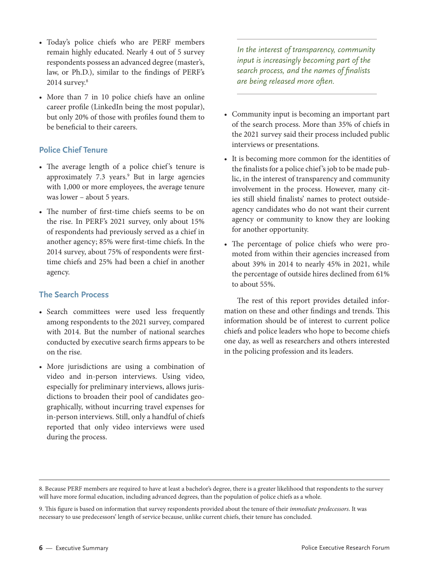- Today's police chiefs who are PERF members remain highly educated. Nearly 4 out of 5 survey respondents possess an advanced degree (master's, law, or Ph.D.), similar to the findings of PERF's 2014 survey.<sup>8</sup>
- More than 7 in 10 police chiefs have an online career profile (LinkedIn being the most popular), but only 20% of those with profiles found them to be beneficial to their careers.

#### **Police Chief Tenure**

- The average length of a police chief's tenure is approximately 7.3 years.<sup>9</sup> But in large agencies with 1,000 or more employees, the average tenure was lower – about 5 years.
- The number of first-time chiefs seems to be on the rise. In PERF's 2021 survey, only about 15% of respondents had previously served as a chief in another agency; 85% were first-time chiefs. In the 2014 survey, about 75% of respondents were firsttime chiefs and 25% had been a chief in another agency.

#### **The Search Process**

- Search committees were used less frequently among respondents to the 2021 survey, compared with 2014. But the number of national searches conducted by executive search firms appears to be on the rise.
- More jurisdictions are using a combination of video and in-person interviews. Using video, especially for preliminary interviews, allows jurisdictions to broaden their pool of candidates geographically, without incurring travel expenses for in-person interviews. Still, only a handful of chiefs reported that only video interviews were used during the process.

*In the interest of transparency, community input is increasingly becoming part of the search process, and the names of finalists are being released more often.*

- Community input is becoming an important part of the search process. More than 35% of chiefs in the 2021 survey said their process included public interviews or presentations.
- It is becoming more common for the identities of the finalists for a police chief 's job to be made public, in the interest of transparency and community involvement in the process. However, many cities still shield finalists' names to protect outsideagency candidates who do not want their current agency or community to know they are looking for another opportunity.
- The percentage of police chiefs who were promoted from within their agencies increased from about 39% in 2014 to nearly 45% in 2021, while the percentage of outside hires declined from 61% to about 55%.

The rest of this report provides detailed information on these and other findings and trends. This information should be of interest to current police chiefs and police leaders who hope to become chiefs one day, as well as researchers and others interested in the policing profession and its leaders.

<sup>8.</sup> Because PERF members are required to have at least a bachelor's degree, there is a greater likelihood that respondents to the survey will have more formal education, including advanced degrees, than the population of police chiefs as a whole.

<sup>9.</sup> This figure is based on information that survey respondents provided about the tenure of their *immediate predecessors*. It was necessary to use predecessors' length of service because, unlike current chiefs, their tenure has concluded.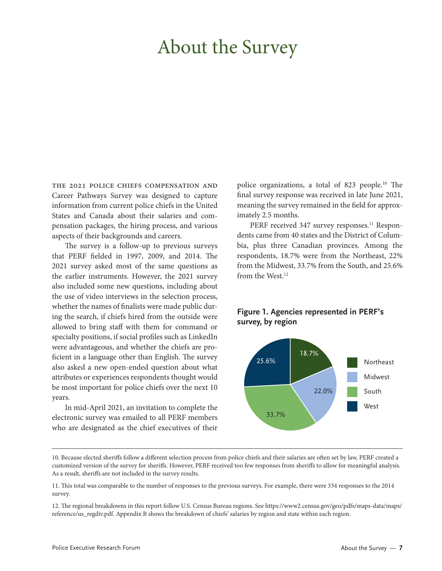# About the Survey

THE 2021 POLICE CHIEFS COMPENSATION AND Career Pathways Survey was designed to capture information from current police chiefs in the United States and Canada about their salaries and compensation packages, the hiring process, and various aspects of their backgrounds and careers.

The survey is a follow-up to previous surveys that PERF fielded in 1997, 2009, and 2014. The 2021 survey asked most of the same questions as the earlier instruments. However, the 2021 survey also included some new questions, including about the use of video interviews in the selection process, whether the names of finalists were made public during the search, if chiefs hired from the outside were allowed to bring staff with them for command or specialty positions, if social profiles such as LinkedIn were advantageous, and whether the chiefs are proficient in a language other than English. The survey also asked a new open-ended question about what attributes or experiences respondents thought would be most important for police chiefs over the next 10 years.

In mid-April 2021, an invitation to complete the electronic survey was emailed to all PERF members who are designated as the chief executives of their police organizations, a total of 823 people.10 The final survey response was received in late June 2021, meaning the survey remained in the field for approximately 2.5 months.

PERF received 347 survey responses.<sup>11</sup> Respondents came from 40 states and the District of Columbia, plus three Canadian provinces. Among the respondents, 18.7% were from the Northeast, 22% from the Midwest, 33.7% from the South, and 25.6% from the West.<sup>12</sup>

#### **Figure 1. Agencies represented in PERF's survey, by region**



<sup>10.</sup> Because elected sheriffs follow a different selection process from police chiefs and their salaries are often set by law, PERF created a customized version of the survey for sheriffs. However, PERF received too few responses from sheriffs to allow for meaningful analysis. As a result, sheriffs are not included in the survey results.

<sup>11.</sup> This total was comparable to the number of responses to the previous surveys. For example, there were 334 responses to the 2014 survey.

<sup>12.</sup> The regional breakdowns in this report follow U.S. Census Bureau regions. See [https://www2.census.gov/geo/pdfs/maps-data/maps/](https://www2.census.gov/geo/pdfs/maps-data/maps/reference/us_regdiv.pdf) [reference/us\\_regdiv.pdf.](https://www2.census.gov/geo/pdfs/maps-data/maps/reference/us_regdiv.pdf) [Appendix B](#page-44-0) shows the breakdown of chiefs' salaries by region and state within each region.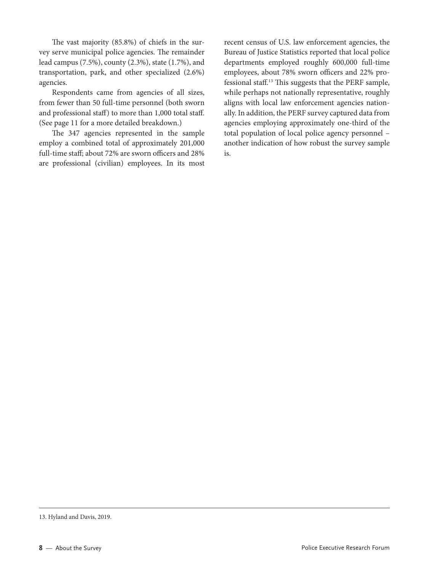The vast majority (85.8%) of chiefs in the survey serve municipal police agencies. The remainder lead campus (7.5%), county (2.3%), state (1.7%), and transportation, park, and other specialized (2.6%) agencies.

Respondents came from agencies of all sizes, from fewer than 50 full-time personnel (both sworn and professional staff) to more than 1,000 total staff. ([See page 11 for a more detailed breakdown.](#page-16-0))

The 347 agencies represented in the sample employ a combined total of approximately 201,000 full-time staff; about 72% are sworn officers and 28% are professional (civilian) employees. In its most recent census of U.S. law enforcement agencies, the Bureau of Justice Statistics reported that local police departments employed roughly 600,000 full-time employees, about 78% sworn officers and 22% professional staff.13 This suggests that the PERF sample, while perhaps not nationally representative, roughly aligns with local law enforcement agencies nationally. In addition, the PERF survey captured data from agencies employing approximately one-third of the total population of local police agency personnel – another indication of how robust the survey sample is.

<sup>13.</sup> Hyland and Davis, 2019.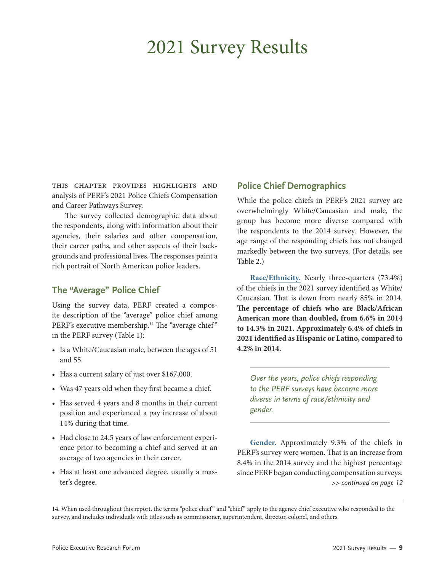# 2021 Survey Results

This chapter provides highlights and analysis of PERF's 2021 Police Chiefs Compensation and Career Pathways Survey.

The survey collected demographic data about the respondents, along with information about their agencies, their salaries and other compensation, their career paths, and other aspects of their backgrounds and professional lives. The responses paint a rich portrait of North American police leaders.

#### **The "Average" Police Chief**

Using the survey data, PERF created a composite description of the "average" police chief among PERF's executive membership.<sup>14</sup> The "average chief" in the PERF survey (Table 1):

- Is a White/Caucasian male, between the ages of 51 and 55.
- Has a current salary of just over \$167,000.
- Was 47 years old when they first became a chief.
- Has served 4 years and 8 months in their current position and experienced a pay increase of about 14% during that time.
- Had close to 24.5 years of law enforcement experience prior to becoming a chief and served at an average of two agencies in their career.
- Has at least one advanced degree, usually a master's degree.

#### **Police Chief Demographics**

While the police chiefs in PERF's 2021 survey are overwhelmingly White/Caucasian and male, the group has become more diverse compared with the respondents to the 2014 survey. However, the age range of the responding chiefs has not changed markedly between the two surveys. (For details, see Table 2.)

**Race/Ethnicity.** Nearly three-quarters (73.4%) of the chiefs in the 2021 survey identified as White/ Caucasian. That is down from nearly 85% in 2014. **The percentage of chiefs who are Black/African American more than doubled, from 6.6% in 2014 to 14.3% in 2021. Approximately 6.4% of chiefs in 2021 identified as Hispanic or Latino, compared to 4.2% in 2014.**

*Over the years, police chiefs responding to the PERF surveys have become more diverse in terms of race/ethnicity and gender.*

**Gender.** Approximately 9.3% of the chiefs in PERF's survey were women. That is an increase from 8.4% in the 2014 survey and the highest percentage since PERF began conducting compensation surveys. *>> continued on page 12*

14. When used throughout this report, the terms "police chief " and "chief " apply to the agency chief executive who responded to the survey, and includes individuals with titles such as commissioner, superintendent, director, colonel, and others.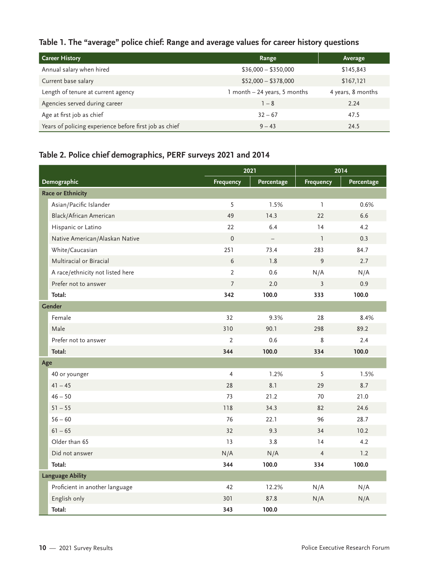### **Table 1. The "average" police chief: Range and average values for career history questions**

| <b>Career History</b>                                  | Range                        | <b>Average</b>    |
|--------------------------------------------------------|------------------------------|-------------------|
| Annual salary when hired                               | $$36,000 - $350,000$         | \$145,843         |
| Current base salary                                    | $$52,000 - $378,000$         | \$167,121         |
| Length of tenure at current agency                     | 1 month - 24 years, 5 months | 4 years, 8 months |
| Agencies served during career                          | $1 - 8$                      | 2.24              |
| Age at first job as chief                              | $32 - 67$                    | 47.5              |
| Years of policing experience before first job as chief | $9 - 43$                     | 24.5              |

### **Table 2. Police chief demographics, PERF surveys 2021 and 2014**

|                                  |                  | 2021       |                  | 2014       |
|----------------------------------|------------------|------------|------------------|------------|
| Demographic                      | <b>Frequency</b> | Percentage | <b>Frequency</b> | Percentage |
| <b>Race or Ethnicity</b>         |                  |            |                  |            |
| Asian/Pacific Islander           | 5                | 1.5%       | $\mathbf{1}$     | 0.6%       |
| Black/African American           | 49               | 14.3       | 22               | 6.6        |
| Hispanic or Latino               | 22               | 6.4        | 14               | 4.2        |
| Native American/Alaskan Native   | $\mathbf{0}$     |            | $\mathbf{1}$     | 0.3        |
| White/Caucasian                  | 251              | 73.4       | 283              | 84.7       |
| Multiracial or Biracial          | 6                | 1.8        | $\mathsf 9$      | 2.7        |
| A race/ethnicity not listed here | $\overline{2}$   | 0.6        | N/A              | N/A        |
| Prefer not to answer             | $\overline{7}$   | 2.0        | $\overline{3}$   | 0.9        |
| Total:                           | 342              | 100.0      | 333              | 100.0      |
| Gender                           |                  |            |                  |            |
| Female                           | 32               | 9.3%       | 28               | 8.4%       |
| Male                             | 310              | 90.1       | 298              | 89.2       |
| Prefer not to answer             | $\overline{2}$   | 0.6        | 8                | 2.4        |
| Total:                           | 344              | 100.0      | 334              | 100.0      |
| Age                              |                  |            |                  |            |
| 40 or younger                    | $\overline{4}$   | 1.2%       | 5                | 1.5%       |
| $41 - 45$                        | 28               | 8.1        | 29               | 8.7        |
| $46 - 50$                        | 73               | 21.2       | 70               | 21.0       |
| $51 - 55$                        | 118              | 34.3       | 82               | 24.6       |
| $56 - 60$                        | 76               | 22.1       | 96               | 28.7       |
| $61 - 65$                        | 32               | 9.3        | 34               | 10.2       |
| Older than 65                    | 13               | 3.8        | 14               | 4.2        |
| Did not answer                   | N/A              | N/A        | $\overline{4}$   | 1.2        |
| Total:                           | 344              | 100.0      | 334              | 100.0      |
| <b>Language Ability</b>          |                  |            |                  |            |
| Proficient in another language   | 42               | 12.2%      | N/A              | N/A        |
| English only                     | 301              | 87.8       | N/A              | N/A        |
| Total:                           | 343              | 100.0      |                  |            |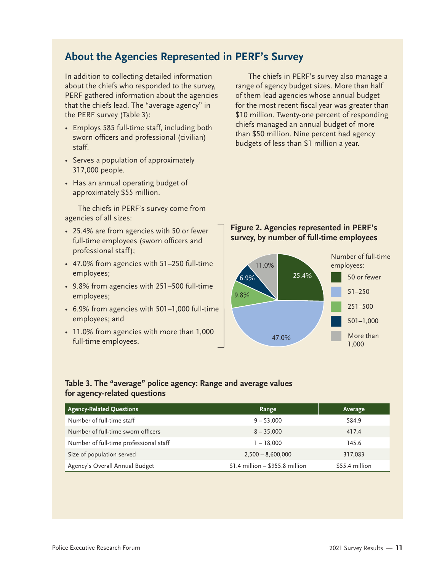### <span id="page-16-0"></span>**About the Agencies Represented in PERF's Survey**

In addition to collecting detailed information about the chiefs who responded to the survey, PERF gathered information about the agencies that the chiefs lead. The "average agency" in the PERF survey (Table 3):

- Employs 585 full-time staff, including both sworn officers and professional (civilian) staff.
- Serves a population of approximately 317,000 people.
- Has an annual operating budget of approximately \$55 million.

The chiefs in PERF's survey come from agencies of all sizes:

- 25.4% are from agencies with 50 or fewer full-time employees (sworn officers and professional staff);
- 47.0% from agencies with 51–250 full-time employees;
- 9.8% from agencies with 251–500 full-time employees;
- 6.9% from agencies with 501–1,000 full-time employees; and
- 11.0% from agencies with more than 1,000 full-time employees.

The chiefs in PERF's survey also manage a range of agency budget sizes. More than half of them lead agencies whose annual budget for the most recent fiscal year was greater than \$10 million. Twenty-one percent of responding chiefs managed an annual budget of more than \$50 million. Nine percent had agency budgets of less than \$1 million a year.

#### **Figure 2. Agencies represented in PERF's survey, by number of full-time employees**



#### **Table 3. The "average" police agency: Range and average values for agency-related questions**

| <b>Agency-Related Questions</b>        | Range                             | Average        |
|----------------------------------------|-----------------------------------|----------------|
| Number of full-time staff              | $9 - 53,000$                      | 584.9          |
| Number of full-time sworn officers     | $8 - 35,000$                      | 417.4          |
| Number of full-time professional staff | $1 - 18,000$                      | 145.6          |
| Size of population served              | $2,500 - 8,600,000$               | 317,083        |
| Agency's Overall Annual Budget         | $$1.4$ million - $$955.8$ million | \$55.4 million |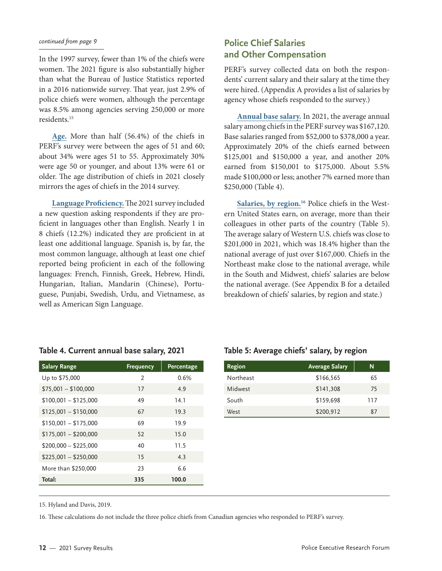#### *continued from page 9*

In the 1997 survey, fewer than 1% of the chiefs were women. The 2021 figure is also substantially higher than what the Bureau of Justice Statistics reported in a 2016 nationwide survey. That year, just 2.9% of police chiefs were women, although the percentage was 8.5% among agencies serving 250,000 or more residents.15

**Age.** More than half (56.4%) of the chiefs in PERF's survey were between the ages of 51 and 60; about 34% were ages 51 to 55. Approximately 30% were age 50 or younger, and about 13% were 61 or older. The age distribution of chiefs in 2021 closely mirrors the ages of chiefs in the 2014 survey.

**Language Proficiency.** The 2021 survey included a new question asking respondents if they are proficient in languages other than English. Nearly 1 in 8 chiefs (12.2%) indicated they are proficient in at least one additional language. Spanish is, by far, the most common language, although at least one chief reported being proficient in each of the following languages: French, Finnish, Greek, Hebrew, Hindi, Hungarian, Italian, Mandarin (Chinese), Portuguese, Punjabi, Swedish, Urdu, and Vietnamese, as well as American Sign Language.

#### **Police Chief Salaries and Other Compensation**

PERF's survey collected data on both the respondents' current salary and their salary at the time they were hired. ([Appendix A](#page-39-0) provides a list of salaries by agency whose chiefs responded to the survey.)

**Annual base salary.** In 2021, the average annual salary among chiefs in the PERF survey was \$167,120. Base salaries ranged from \$52,000 to \$378,000 a year. Approximately 20% of the chiefs earned between \$125,001 and \$150,000 a year, and another 20% earned from \$150,001 to \$175,000. About 5.5% made \$100,000 or less; another 7% earned more than \$250,000 (Table 4).

Salaries, by region.<sup>16</sup> Police chiefs in the Western United States earn, on average, more than their colleagues in other parts of the country (Table 5). The average salary of Western U.S. chiefs was close to \$201,000 in 2021, which was 18.4% higher than the national average of just over \$167,000. Chiefs in the Northeast make close to the national average, while in the South and Midwest, chiefs' salaries are below the national average. (See [Appendix B](#page-44-0) for a detailed breakdown of chiefs' salaries, by region and state.)

#### **Table 4. Current annual base salary, 2021**

| <b>Salary Range</b>   | <b>Frequency</b> | Percentage |
|-----------------------|------------------|------------|
| Up to \$75,000        | $\mathcal{P}$    | 0.6%       |
| $$75,001 - $100,000$  | 17               | 4.9        |
| $$100,001 - $125,000$ | 49               | 14.1       |
| $$125,001 - $150,000$ | 67               | 19.3       |
| $$150,001 - $175,000$ | 69               | 19.9       |
| $$175,001 - $200,000$ | 52               | 15.0       |
| $$200,000 - $225,000$ | 40               | 11.5       |
| $$225,001 - $250,000$ | 15               | 4.3        |
| More than \$250,000   | 23               | 6.6        |
| Total:                | 335              | 100.0      |

#### **Table 5: Average chiefs' salary, by region**

| <b>Region</b> | <b>Average Salary</b> | N   |
|---------------|-----------------------|-----|
| Northeast     | \$166,565             | 65  |
| Midwest       | \$141,308             | 75  |
| South         | \$159,698             | 117 |
| West          | \$200,912             | 87  |

15. Hyland and Davis, 2019.

16. These calculations do not include the three police chiefs from Canadian agencies who responded to PERF's survey.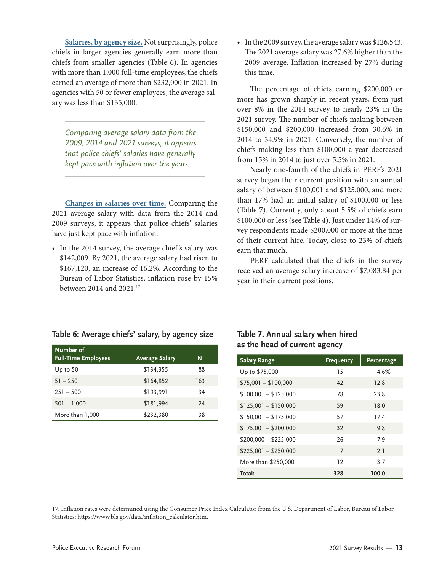**Salaries, by agency size.** Not surprisingly, police chiefs in larger agencies generally earn more than chiefs from smaller agencies (Table 6). In agencies with more than 1,000 full-time employees, the chiefs earned an average of more than \$232,000 in 2021. In agencies with 50 or fewer employees, the average salary was less than \$135,000.

*Comparing average salary data from the 2009, 2014 and 2021 surveys, it appears that police chiefs' salaries have generally kept pace with inflation over the years.*

**Changes in salaries over time.** Comparing the 2021 average salary with data from the 2014 and 2009 surveys, it appears that police chiefs' salaries have just kept pace with inflation.

• In the 2014 survey, the average chief 's salary was \$142,009. By 2021, the average salary had risen to \$167,120, an increase of 16.2%. According to the Bureau of Labor Statistics, inflation rose by 15% between 2014 and 2021.17

• In the 2009 survey, the average salary was \$126,543. The 2021 average salary was 27.6% higher than the 2009 average. Inflation increased by 27% during this time.

The percentage of chiefs earning \$200,000 or more has grown sharply in recent years, from just over 8% in the 2014 survey to nearly 23% in the 2021 survey. The number of chiefs making between \$150,000 and \$200,000 increased from 30.6% in 2014 to 34.9% in 2021. Conversely, the number of chiefs making less than \$100,000 a year decreased from 15% in 2014 to just over 5.5% in 2021.

Nearly one-fourth of the chiefs in PERF's 2021 survey began their current position with an annual salary of between \$100,001 and \$125,000, and more than 17% had an initial salary of \$100,000 or less (Table 7). Currently, only about 5.5% of chiefs earn \$100,000 or less (see Table 4). Just under 14% of survey respondents made \$200,000 or more at the time of their current hire. Today, close to 23% of chiefs earn that much.

PERF calculated that the chiefs in the survey received an average salary increase of \$7,083.84 per year in their current positions.

#### **Table 6: Average chiefs' salary, by agency size**

| Number of<br><b>Full-Time Employees</b> | <b>Average Salary</b> | N   |
|-----------------------------------------|-----------------------|-----|
| Up to $50$                              | \$134,355             | 88  |
| $51 - 250$                              | \$164,852             | 163 |
| $251 - 500$                             | \$193,991             | 34  |
| $501 - 1,000$                           | \$181,994             | 24  |
| More than 1,000                         | \$232,380             | 38  |

#### **Table 7. Annual salary when hired as the head of current agency**

| <b>Salary Range</b>   | <b>Frequency</b> | Percentage |
|-----------------------|------------------|------------|
| Up to \$75,000        | 15               | 4.6%       |
| $$75,001 - $100,000$  | 42               | 12.8       |
| $$100,001 - $125,000$ | 78               | 23.8       |
| $$125,001 - $150,000$ | 59               | 18.0       |
| $$150,001 - $175,000$ | 57               | 17.4       |
| $$175,001 - $200,000$ | 32               | 9.8        |
| $$200,000 - $225,000$ | 26               | 7.9        |
| $$225,001 - $250,000$ | 7                | 2.1        |
| More than \$250,000   | 12               | 3.7        |
| Total:                | 328              | 100.0      |

17. Inflation rates were determined using the Consumer Price Index Calculator from the U.S. Department of Labor, Bureau of Labor Statistics: [https://www.bls.gov/data/inflation\\_calculator.htm](https://www.bls.gov/data/inflation_calculator.htm).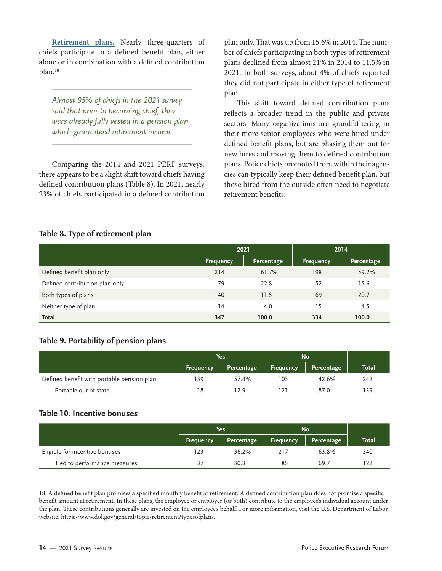**Retirement plans.** Nearly three-quarters of chiefs participate in a defined benefit plan, either alone or in combination with a defined contribution plan.18

*Almost 95% of chiefs in the 2021 survey said that prior to becoming chief, they were already fully vested in a pension plan which guaranteed retirement income.*

Comparing the 2014 and 2021 PERF surveys, there appears to be a slight shift toward chiefs having defined contribution plans (Table 8). In 2021, nearly 23% of chiefs participated in a defined contribution

plan only. That was up from 15.6% in 2014. The number of chiefs participating in both types of retirement plans declined from almost 21% in 2014 to 11.5% in 2021. In both surveys, about 4% of chiefs reported they did not participate in either type of retirement plan.

This shift toward defined contribution plans reflects a broader trend in the public and private sectors. Many organizations are grandfathering in their more senior employees who were hired under defined benefit plans, but are phasing them out for new hires and moving them to defined contribution plans. Police chiefs promoted from within their agencies can typically keep their defined benefit plan, but those hired from the outside often need to negotiate retirement benefits.

#### **Table 8. Type of retirement plan**

|                                | 2021      |            | 2014      |            |  |
|--------------------------------|-----------|------------|-----------|------------|--|
|                                | Frequency | Percentage | Frequency | Percentage |  |
| Defined benefit plan only      | 214       | 61.7%      | 198       | 59.2%      |  |
| Defined contribution plan only | 79        | 22.8       | 52        | 15.6       |  |
| Both types of plans            | 40        | 11.5       | 69        | 20.7       |  |
| Neither type of plan           | 14        | 4.0        | 15        | 4.5        |  |
| Total                          | 347       | 100.0      | 334       | 100.0      |  |

#### **Table 9. Portability of pension plans**

|                                            | Yes              |            | <b>No</b> |            |              |
|--------------------------------------------|------------------|------------|-----------|------------|--------------|
|                                            | <b>Frequency</b> | Percentage | Frequency | Percentage | <b>Total</b> |
| Defined benefit with portable pension plan | 139              | 57.4%      | 103       | 42.6%      | 242          |
| Portable out of state                      | 18               | 12.9       |           | 87.0       | 139          |

#### **Table 10. Incentive bonuses**

|                                | <b>Yes</b> |            | <b>No</b> |            |       |
|--------------------------------|------------|------------|-----------|------------|-------|
|                                | Frequency  | Percentage | Frequency | Percentage | Total |
| Eligible for incentive bonuses | 123        | 36.2%      | 217       | 63.8%      | 340   |
| Tied to performance measures   | 37         | 30.3       | 85        | 69.7       | 122   |

18. A defined benefit plan promises a specified monthly benefit at retirement. A defined contribution plan does not promise a specific benefit amount at retirement. In these plans, the employee or employer (or both) contribute to the employee's individual account under the plan. These contributions generally are invested on the employee's behalf. For more information, visit the U.S. Department of Labor website: <https://www.dol.gov/general/topic/retirement/typesofplans>.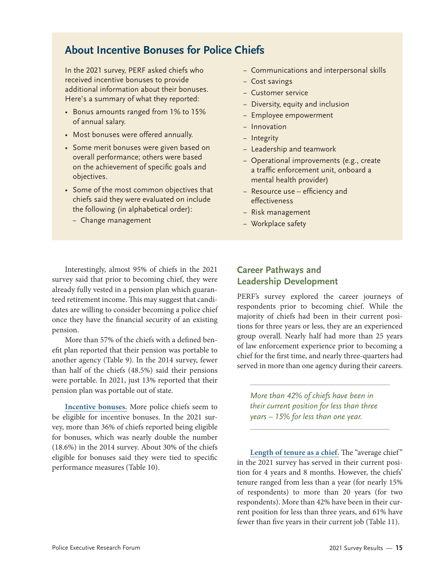### **About Incentive Bonuses for Police Chiefs**

In the 2021 survey, PERF asked chiefs who received incentive bonuses to provide additional information about their bonuses. Here's a summary of what they reported:

- Bonus amounts ranged from 1% to 15% of annual salary.
- Most bonuses were offered annually.
- Some merit bonuses were given based on overall performance; others were based on the achievement of specific goals and objectives.
- Some of the most common objectives that chiefs said they were evaluated on include the following (in alphabetical order):
	- − Change management
- − Communications and interpersonal skills
- − Cost savings
- − Customer service
- − Diversity, equity and inclusion
- − Employee empowerment
- − Innovation
- − Integrity
- − Leadership and teamwork
- − Operational improvements (e.g., create a traffic enforcement unit, onboard a mental health provider)
- − Resource use efficiency and effectiveness
- − Risk management
- − Workplace safety

Interestingly, almost 95% of chiefs in the 2021 survey said that prior to becoming chief, they were already fully vested in a pension plan which guaranteed retirement income. This may suggest that candidates are willing to consider becoming a police chief once they have the financial security of an existing pension.

More than 57% of the chiefs with a defined benefit plan reported that their pension was portable to another agency (Table 9). In the 2014 survey, fewer than half of the chiefs (48.5%) said their pensions were portable. In 2021, just 13% reported that their pension plan was portable out of state.

**Incentive bonuses.** More police chiefs seem to be eligible for incentive bonuses. In the 2021 survey, more than 36% of chiefs reported being eligible for bonuses, which was nearly double the number (18.6%) in the 2014 survey. About 30% of the chiefs eligible for bonuses said they were tied to specific performance measures (Table 10).

#### **Career Pathways and Leadership Development**

PERF's survey explored the career journeys of respondents prior to becoming chief. While the majority of chiefs had been in their current positions for three years or less, they are an experienced group overall. Nearly half had more than 25 years of law enforcement experience prior to becoming a chief for the first time, and nearly three-quarters had served in more than one agency during their careers.

*More than 42% of chiefs have been in their current position for less than three years – 15% for less than one year.*

Length of tenure as a chief. The "average chief" in the 2021 survey has served in their current position for 4 years and 8 months. However, the chiefs' tenure ranged from less than a year (for nearly 15% of respondents) to more than 20 years (for two respondents). More than 42% have been in their current position for less than three years, and 61% have fewer than five years in their current job (Table 11).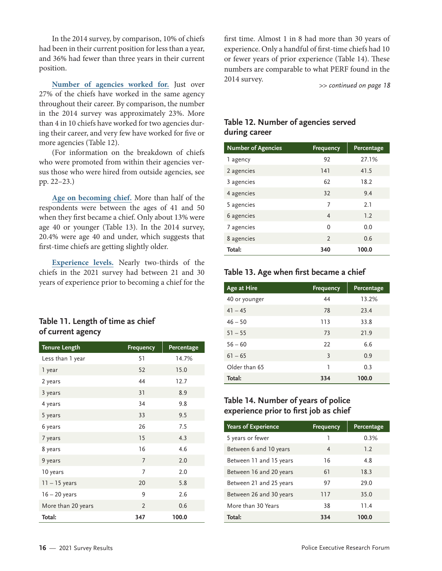In the 2014 survey, by comparison, 10% of chiefs had been in their current position for less than a year, and 36% had fewer than three years in their current position.

**Number of agencies worked for.** Just over 27% of the chiefs have worked in the same agency throughout their career. By comparison, the number in the 2014 survey was approximately 23%. More than 4 in 10 chiefs have worked for two agencies during their career, and very few have worked for five or more agencies (Table 12).

(For information on the breakdown of chiefs who were promoted from within their agencies versus those who were hired from outside agencies, see pp. 22–23.)

**Age on becoming chief.** More than half of the respondents were between the ages of 41 and 50 when they first became a chief. Only about 13% were age 40 or younger (Table 13). In the 2014 survey, 20.4% were age 40 and under, which suggests that first-time chiefs are getting slightly older.

**Experience levels.** Nearly two-thirds of the chiefs in the 2021 survey had between 21 and 30 years of experience prior to becoming a chief for the

#### **Table 11. Length of time as chief of current agency**

| <b>Tenure Length</b> | <b>Frequency</b> | Percentage |
|----------------------|------------------|------------|
| Less than 1 year     | 51               | 14.7%      |
| 1 year               | 52               | 15.0       |
| 2 years              | 44               | 12.7       |
| 3 years              | 31               | 8.9        |
| 4 years              | 34               | 9.8        |
| 5 years              | 33               | 9.5        |
| 6 years              | 26               | 7.5        |
| 7 years              | 15               | 4.3        |
| 8 years              | 16               | 4.6        |
| 9 years              | 7                | 2.0        |
| 10 years             | 7                | 2.0        |
| $11 - 15$ years      | 20               | 5.8        |
| $16 - 20$ years      | 9                | 2.6        |
| More than 20 years   | $\overline{2}$   | 0.6        |
| Total:               | 347              | 100.0      |

first time. Almost 1 in 8 had more than 30 years of experience. Only a handful of first-time chiefs had 10 or fewer years of prior experience (Table 14). These numbers are comparable to what PERF found in the 2014 survey.

*>> continued on page 18*

### **Table 12. Number of agencies served during career**

| <b>Number of Agencies</b> | <b>Frequency</b> | Percentage |
|---------------------------|------------------|------------|
| 1 agency                  | 92               | 27.1%      |
| 2 agencies                | 141              | 41.5       |
| 3 agencies                | 62               | 18.2       |
| 4 agencies                | 32               | 9.4        |
| 5 agencies                | 7                | 2.1        |
| 6 agencies                | 4                | 1.2        |
| 7 agencies                | $\Omega$         | 0.0        |
| 8 agencies                | $\mathfrak{D}$   | 0.6        |
| Total:                    | 340              | 100.0      |

#### **Table 13. Age when first became a chief**

| Age at Hire   | <b>Frequency</b> | Percentage |
|---------------|------------------|------------|
| 40 or younger | 44               | 13.2%      |
| $41 - 45$     | 78               | 23.4       |
| $46 - 50$     | 113              | 33.8       |
| $51 - 55$     | 73               | 21.9       |
| $56 - 60$     | 22               | 6.6        |
| $61 - 65$     | 3                | 0.9        |
| Older than 65 | 1                | 0.3        |
| Total:        | 334              | 100.0      |

#### **Table 14. Number of years of police experience prior to first job as chief**

| <b>Years of Experience</b> | <b>Frequency</b> | Percentage |
|----------------------------|------------------|------------|
| 5 years or fewer           | 1                | 0.3%       |
| Between 6 and 10 years     | 4                | 1.2        |
| Between 11 and 15 years    | 16               | 4.8        |
| Between 16 and 20 years    | 61               | 18.3       |
| Between 21 and 25 years    | 97               | 29.0       |
| Between 26 and 30 years    | 117              | 35.0       |
| More than 30 Years         | 38               | 11.4       |
| Total:                     | 334              | 100.0      |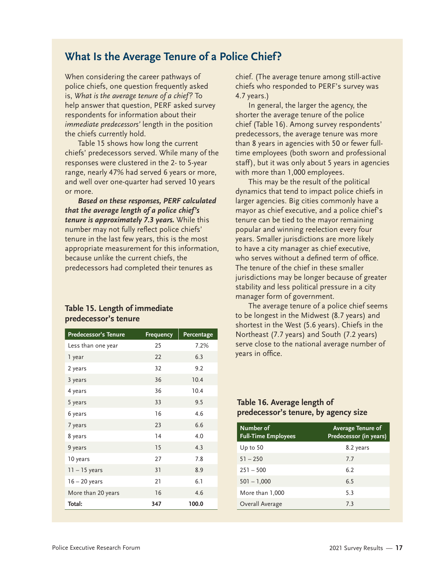### **What Is the Average Tenure of a Police Chief?**

When considering the career pathways of police chiefs, one question frequently asked is, *What is the average tenure of a chief?* To help answer that question, PERF asked survey respondents for information about their *immediate predecessors'* length in the position the chiefs currently hold.

Table 15 shows how long the current chiefs' predecessors served. While many of the responses were clustered in the 2- to 5-year range, nearly 47% had served 6 years or more, and well over one-quarter had served 10 years or more.

*Based on these responses, PERF calculated that the average length of a police chief's tenure is approximately 7.3 years.* While this number may not fully reflect police chiefs' tenure in the last few years, this is the most appropriate measurement for this information, because unlike the current chiefs, the predecessors had completed their tenures as

#### **Table 15. Length of immediate predecessor's tenure**

| <b>Predecessor's Tenure</b> | <b>Frequency</b> | <b>Percentage</b> |
|-----------------------------|------------------|-------------------|
| Less than one year          | 25               | 7.2%              |
| 1 year                      | 22               | 6.3               |
| 2 years                     | 32               | 9.2               |
| 3 years                     | 36               | 10.4              |
| 4 years                     | 36               | 10.4              |
| 5 years                     | 33               | 9.5               |
| 6 years                     | 16               | 4.6               |
| 7 years                     | 23               | 6.6               |
| 8 years                     | 14               | 4.0               |
| 9 years                     | 15               | 4.3               |
| 10 years                    | 27               | 7.8               |
| $11 - 15$ years             | 31               | 8.9               |
| $16 - 20$ years             | 21               | 6.1               |
| More than 20 years          | 16               | 4.6               |
| Total:                      | 347              | 100.0             |

chief. (The average tenure among still-active chiefs who responded to PERF's survey was 4.7 years.)

In general, the larger the agency, the shorter the average tenure of the police chief (Table 16). Among survey respondents' predecessors, the average tenure was more than 8 years in agencies with 50 or fewer fulltime employees (both sworn and professional staff), but it was only about 5 years in agencies with more than 1,000 employees.

This may be the result of the political dynamics that tend to impact police chiefs in larger agencies. Big cities commonly have a mayor as chief executive, and a police chief's tenure can be tied to the mayor remaining popular and winning reelection every four years. Smaller jurisdictions are more likely to have a city manager as chief executive, who serves without a defined term of office. The tenure of the chief in these smaller jurisdictions may be longer because of greater stability and less political pressure in a city manager form of government.

The average tenure of a police chief seems to be longest in the Midwest (8.7 years) and shortest in the West (5.6 years). Chiefs in the Northeast (7.7 years) and South (7.2 years) serve close to the national average number of years in office.

#### **Table 16. Average length of predecessor's tenure, by agency size**

| Number of<br><b>Full-Time Employees</b> | <b>Average Tenure of</b><br>Predecessor (in years) |
|-----------------------------------------|----------------------------------------------------|
| Up to $50$                              | 8.2 years                                          |
| $51 - 250$                              | 7.7                                                |
| $251 - 500$                             | 6.2                                                |
| $501 - 1,000$                           | 6.5                                                |
| More than 1,000                         | 5.3                                                |
| Overall Average                         | 7.3                                                |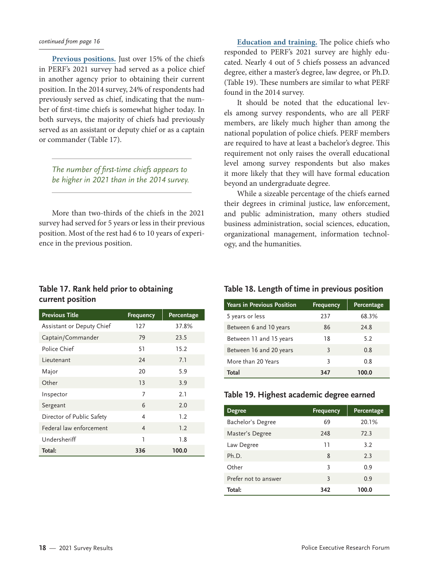#### *continued from page 16*

**Previous positions.** Just over 15% of the chiefs in PERF's 2021 survey had served as a police chief in another agency prior to obtaining their current position. In the 2014 survey, 24% of respondents had previously served as chief, indicating that the number of first-time chiefs is somewhat higher today. In both surveys, the majority of chiefs had previously served as an assistant or deputy chief or as a captain or commander (Table 17).

*The number of first-time chiefs appears to be higher in 2021 than in the 2014 survey.*

More than two-thirds of the chiefs in the 2021 survey had served for 5 years or less in their previous position. Most of the rest had 6 to 10 years of experience in the previous position.

**Table 17. Rank held prior to obtaining current position**

| <b>Previous Title</b>     | <b>Frequency</b> | Percentage |
|---------------------------|------------------|------------|
| Assistant or Deputy Chief | 127              | 37.8%      |
| Captain/Commander         | 79               | 23.5       |
| Police Chief              | 51               | 15.2       |
| Lieutenant                | 24               | 7.1        |
| Major                     | 20               | 5.9        |
| Other                     | 13               | 3.9        |
| Inspector                 | 7                | 2.1        |
| Sergeant                  | 6                | 2.0        |
| Director of Public Safety | 4                | 1.2        |
| Federal law enforcement   | $\overline{4}$   | 1.2        |
| Undersheriff              | 1                | 1.8        |
| Total:                    | 336              | 100.0      |

**Education and training.** The police chiefs who responded to PERF's 2021 survey are highly educated. Nearly 4 out of 5 chiefs possess an advanced degree, either a master's degree, law degree, or Ph.D. (Table 19). These numbers are similar to what PERF found in the 2014 survey.

It should be noted that the educational levels among survey respondents, who are all PERF members, are likely much higher than among the national population of police chiefs. PERF members are required to have at least a bachelor's degree. This requirement not only raises the overall educational level among survey respondents but also makes it more likely that they will have formal education beyond an undergraduate degree.

While a sizeable percentage of the chiefs earned their degrees in criminal justice, law enforcement, and public administration, many others studied business administration, social sciences, education, organizational management, information technology, and the humanities.

#### **Table 18. Length of time in previous position**

| <b>Years in Previous Position</b> | <b>Frequency</b> | Percentage |
|-----------------------------------|------------------|------------|
| 5 years or less                   | 237              | 68.3%      |
| Between 6 and 10 years            | 86               | 24.8       |
| Between 11 and 15 years           | 18               | 5.2        |
| Between 16 and 20 years           | 3                | 0.8        |
| More than 20 Years                | 3                | 0.8        |
| Total                             | 347              | 100.0      |

#### **Table 19. Highest academic degree earned**

| <b>Degree</b>        | <b>Frequency</b> | Percentage |
|----------------------|------------------|------------|
| Bachelor's Degree    | 69               | 20.1%      |
| Master's Degree      | 248              | 72.3       |
| Law Degree           | 11               | 3.2        |
| Ph.D.                | 8                | 2.3        |
| Other                | 3                | 0.9        |
| Prefer not to answer | 3                | 0.9        |
| Total:               | 342              | 100.0      |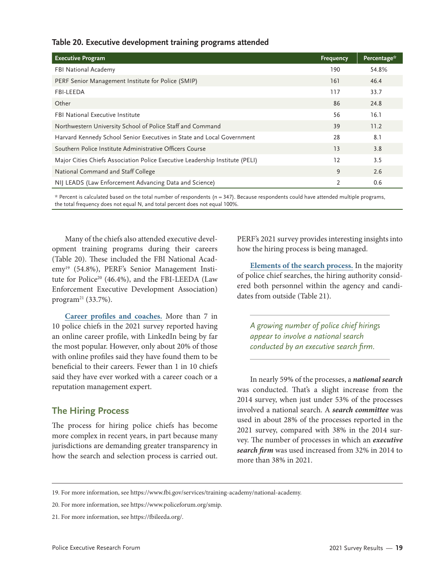#### **Table 20. Executive development training programs attended**

| <b>Executive Program</b>                                                     | Frequency | Percentage* |
|------------------------------------------------------------------------------|-----------|-------------|
| FBI National Academy                                                         | 190       | 54.8%       |
| PERF Senior Management Institute for Police (SMIP)                           | 161       | 46.4        |
| <b>FBI-LEEDA</b>                                                             | 117       | 33.7        |
| Other                                                                        | 86        | 24.8        |
| <b>FBI National Executive Institute</b>                                      | 56        | 16.1        |
| Northwestern University School of Police Staff and Command                   | 39        | 11.2        |
| Harvard Kennedy School Senior Executives in State and Local Government       | 28        | 8.1         |
| Southern Police Institute Administrative Officers Course                     | 13        | 3.8         |
| Major Cities Chiefs Association Police Executive Leadership Institute (PELI) | 12        | 3.5         |
| National Command and Staff College                                           | 9         | 2.6         |
| NIJ LEADS (Law Enforcement Advancing Data and Science)                       | 2         | 0.6         |

\* Percent is calculated based on the total number of respondents (n = 347). Because respondents could have attended multiple programs, the total frequency does not equal N, and total percent does not equal 100%.

Many of the chiefs also attended executive development training programs during their careers (Table 20). These included the FBI National Academy19 (54.8%), PERF's Senior Management Institute for Police<sup>20</sup> (46.4%), and the FBI-LEEDA (Law Enforcement Executive Development Association) program<sup>21</sup> (33.7%).

**Career profiles and coaches.** More than 7 in 10 police chiefs in the 2021 survey reported having an online career profile, with LinkedIn being by far the most popular. However, only about 20% of those with online profiles said they have found them to be beneficial to their careers. Fewer than 1 in 10 chiefs said they have ever worked with a career coach or a reputation management expert.

#### **The Hiring Process**

The process for hiring police chiefs has become more complex in recent years, in part because many jurisdictions are demanding greater transparency in how the search and selection process is carried out. PERF's 2021 survey provides interesting insights into how the hiring process is being managed.

**Elements of the search process.** In the majority of police chief searches, the hiring authority considered both personnel within the agency and candidates from outside (Table 21).

*A growing number of police chief hirings appear to involve a national search conducted by an executive search firm.*

In nearly 59% of the processes, a *national search* was conducted. That's a slight increase from the 2014 survey, when just under 53% of the processes involved a national search. A *search committee* was used in about 28% of the processes reported in the 2021 survey, compared with 38% in the 2014 survey. The number of processes in which an *executive search firm* was used increased from 32% in 2014 to more than 38% in 2021.

<sup>19.</sup> For more information, see [https://www.fbi.gov/services/training-academy/national-academy.](https://www.fbi.gov/services/training-academy/national-academy)

<sup>20.</sup> For more information, see [https://www.policeforum.org/smip.](https://www.policeforum.org/smip)

<sup>21.</sup> For more information, see <https://fbileeda.org/>.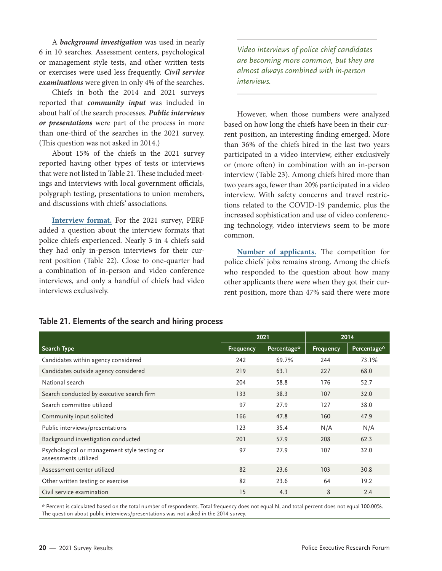A *background investigation* was used in nearly 6 in 10 searches. Assessment centers, psychological or management style tests, and other written tests or exercises were used less frequently. *Civil service examinations* were given in only 4% of the searches.

Chiefs in both the 2014 and 2021 surveys reported that *community input* was included in about half of the search processes. *Public interviews or presentations* were part of the process in more than one-third of the searches in the 2021 survey. (This question was not asked in 2014.)

About 15% of the chiefs in the 2021 survey reported having other types of tests or interviews that were not listed in Table 21. These included meetings and interviews with local government officials, polygraph testing, presentations to union members, and discussions with chiefs' associations.

**Interview format.** For the 2021 survey, PERF added a question about the interview formats that police chiefs experienced. Nearly 3 in 4 chiefs said they had only in-person interviews for their current position (Table 22). Close to one-quarter had a combination of in-person and video conference interviews, and only a handful of chiefs had video interviews exclusively.

*Video interviews of police chief candidates are becoming more common, but they are almost always combined with in-person interviews.*

However, when those numbers were analyzed based on how long the chiefs have been in their current position, an interesting finding emerged. More than 36% of the chiefs hired in the last two years participated in a video interview, either exclusively or (more often) in combination with an in-person interview (Table 23). Among chiefs hired more than two years ago, fewer than 20% participated in a video interview. With safety concerns and travel restrictions related to the COVID-19 pandemic, plus the increased sophistication and use of video conferencing technology, video interviews seem to be more common.

**Number of applicants.** The competition for police chiefs' jobs remains strong. Among the chiefs who responded to the question about how many other applicants there were when they got their current position, more than 47% said there were more

|                                                                      | 2021             |             | 2014             |             |
|----------------------------------------------------------------------|------------------|-------------|------------------|-------------|
| Search Type                                                          | <b>Frequency</b> | Percentage* | <b>Frequency</b> | Percentage* |
| Candidates within agency considered                                  | 242              | 69.7%       | 244              | 73.1%       |
| Candidates outside agency considered                                 | 219              | 63.1        | 227              | 68.0        |
| National search                                                      | 204              | 58.8        | 176              | 52.7        |
| Search conducted by executive search firm                            | 133              | 38.3        | 107              | 32.0        |
| Search committee utilized                                            | 97               | 27.9        | 127              | 38.0        |
| Community input solicited                                            | 166              | 47.8        | 160              | 47.9        |
| Public interviews/presentations                                      | 123              | 35.4        | N/A              | N/A         |
| Background investigation conducted                                   | 201              | 57.9        | 208              | 62.3        |
| Psychological or management style testing or<br>assessments utilized | 97               | 27.9        | 107              | 32.0        |
| Assessment center utilized                                           | 82               | 23.6        | 103              | 30.8        |
| Other written testing or exercise                                    | 82               | 23.6        | 64               | 19.2        |
| Civil service examination                                            | 15               | 4.3         | 8                | 2.4         |

#### **Table 21. Elements of the search and hiring process**

\* Percent is calculated based on the total number of respondents. Total frequency does not equal N, and total percent does not equal 100.00%. The question about public interviews/presentations was not asked in the 2014 survey.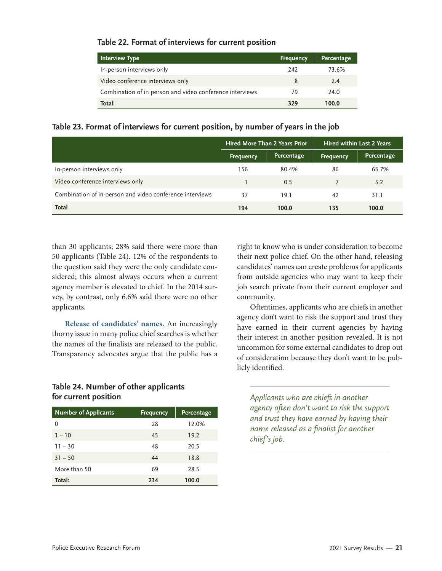#### **Table 22. Format of interviews for current position**

| Interview Type                                           | <b>Frequency</b> | Percentage |
|----------------------------------------------------------|------------------|------------|
| In-person interviews only                                | 242              | 73.6%      |
| Video conference interviews only                         |                  | 2.4        |
| Combination of in person and video conference interviews | 79               | 24.0       |
| Total:                                                   | 329              | 100.0      |

#### **Table 23. Format of interviews for current position, by number of years in the job**

|                                                          | <b>Hired More Than 2 Years Prior</b> |            | <b>Hired within Last 2 Years</b> |            |
|----------------------------------------------------------|--------------------------------------|------------|----------------------------------|------------|
|                                                          | <b>Frequency</b>                     | Percentage | Frequency                        | Percentage |
| In-person interviews only                                | 156                                  | 80.4%      | 86                               | 63.7%      |
| Video conference interviews only                         |                                      | 0.5        |                                  | 5.2        |
| Combination of in-person and video conference interviews | 37                                   | 19.1       | 42                               | 31.1       |
| Total                                                    | 194                                  | 100.0      | 135                              | 100.0      |

than 30 applicants; 28% said there were more than 50 applicants (Table 24). 12% of the respondents to the question said they were the only candidate considered; this almost always occurs when a current agency member is elevated to chief. In the 2014 survey, by contrast, only 6.6% said there were no other applicants.

**Release of candidates' names.** An increasingly thorny issue in many police chief searches is whether the names of the finalists are released to the public. Transparency advocates argue that the public has a

#### **Table 24. Number of other applicants for current position**

| <b>Number of Applicants</b> | <b>Frequency</b> | Percentage |
|-----------------------------|------------------|------------|
| 0                           | 28               | 12.0%      |
| $1 - 10$                    | 45               | 19.2       |
| $11 - 30$                   | 48               | 20.5       |
| $31 - 50$                   | 44               | 18.8       |
| More than 50                | 69               | 28.5       |
| Total:                      | 234              | 100.0      |

right to know who is under consideration to become their next police chief. On the other hand, releasing candidates' names can create problems for applicants from outside agencies who may want to keep their job search private from their current employer and community.

Oftentimes, applicants who are chiefs in another agency don't want to risk the support and trust they have earned in their current agencies by having their interest in another position revealed. It is not uncommon for some external candidates to drop out of consideration because they don't want to be publicly identified.

*Applicants who are chiefs in another agency often don't want to risk the support and trust they have earned by having their name released as a finalist for another chief's job.*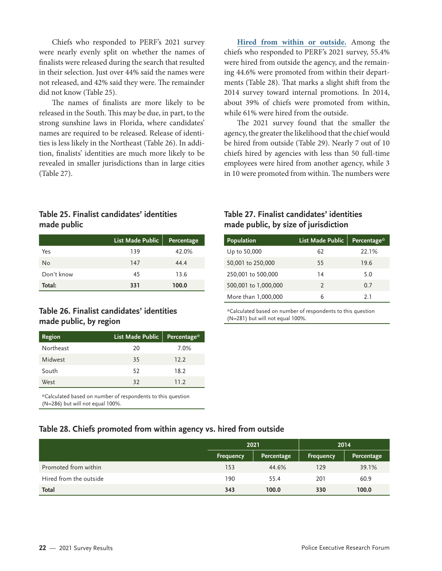Chiefs who responded to PERF's 2021 survey were nearly evenly split on whether the names of finalists were released during the search that resulted in their selection. Just over 44% said the names were not released, and 42% said they were. The remainder did not know (Table 25).

The names of finalists are more likely to be released in the South. This may be due, in part, to the strong sunshine laws in Florida, where candidates' names are required to be released. Release of identities is less likely in the Northeast (Table 26). In addition, finalists' identities are much more likely to be revealed in smaller jurisdictions than in large cities (Table 27).

**Hired from within or outside.** Among the chiefs who responded to PERF's 2021 survey, 55.4% were hired from outside the agency, and the remaining 44.6% were promoted from within their departments (Table 28). That marks a slight shift from the 2014 survey toward internal promotions. In 2014, about 39% of chiefs were promoted from within, while 61% were hired from the outside.

The 2021 survey found that the smaller the agency, the greater the likelihood that the chief would be hired from outside (Table 29). Nearly 7 out of 10 chiefs hired by agencies with less than 50 full-time employees were hired from another agency, while 3 in 10 were promoted from within. The numbers were

#### **Table 25. Finalist candidates' identities made public**

|            | <b>List Made Public</b> | <b>Percentage</b> |
|------------|-------------------------|-------------------|
| Yes        | 139                     | 42.0%             |
| No         | 147                     | 44.4              |
| Don't know | 45                      | 13.6              |
| Total:     | 331                     | 100.0             |

#### **Table 26. Finalist candidates' identities made public, by region**

| Region    | List Made Public | Percentage* |
|-----------|------------------|-------------|
| Northeast | 20               | 7.0%        |
| Midwest   | 35               | 12.2        |
| South     | 52               | 18.2        |
| West      | 32               | 11.2        |

\*Calculated based on number of respondents to this question (N=286) but will not equal 100%.

#### **Table 27. Finalist candidates' identities made public, by size of jurisdiction**

| Population           | List Made Public | Percentage* |
|----------------------|------------------|-------------|
| Up to 50,000         | 62               | 22.1%       |
| 50,001 to 250,000    | 55               | 19.6        |
| 250,001 to 500,000   | 14               | 5.0         |
| 500,001 to 1,000,000 | 2                | 0.7         |
| More than 1,000,000  | 6                | 21          |

\*Calculated based on number of respondents to this question (N=281) but will not equal 100%.

#### **Table 28. Chiefs promoted from within agency vs. hired from outside**

|                        | 2021      |            | 2014      |            |
|------------------------|-----------|------------|-----------|------------|
|                        | Frequency | Percentage | Frequency | Percentage |
| Promoted from within   | 153       | 44.6%      | 129       | 39.1%      |
| Hired from the outside | 190       | 55.4       | 201       | 60.9       |
| <b>Total</b>           | 343       | 100.0      | 330       | 100.0      |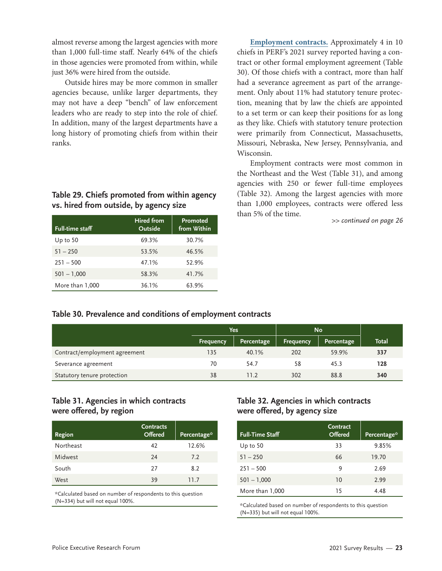almost reverse among the largest agencies with more than 1,000 full-time staff. Nearly 64% of the chiefs in those agencies were promoted from within, while just 36% were hired from the outside.

Outside hires may be more common in smaller agencies because, unlike larger departments, they may not have a deep "bench" of law enforcement leaders who are ready to step into the role of chief. In addition, many of the largest departments have a long history of promoting chiefs from within their ranks.

#### **Table 29. Chiefs promoted from within agency vs. hired from outside, by agency size**

| <b>Full-time staff</b> | <b>Hired from</b><br>Outside | Promoted<br>from Within |
|------------------------|------------------------------|-------------------------|
| Up to $50$             | 69.3%                        | 30.7%                   |
| $51 - 250$             | 53.5%                        | 46.5%                   |
| $251 - 500$            | 47.1%                        | 52.9%                   |
| $501 - 1,000$          | 58.3%                        | 41.7%                   |
| More than 1,000        | 36.1%                        | 63.9%                   |

**Employment contracts.** Approximately 4 in 10 chiefs in PERF's 2021 survey reported having a contract or other formal employment agreement (Table 30). Of those chiefs with a contract, more than half had a severance agreement as part of the arrangement. Only about 11% had statutory tenure protection, meaning that by law the chiefs are appointed to a set term or can keep their positions for as long as they like. Chiefs with statutory tenure protection were primarily from Connecticut, Massachusetts, Missouri, Nebraska, New Jersey, Pennsylvania, and Wisconsin.

Employment contracts were most common in the Northeast and the West (Table 31), and among agencies with 250 or fewer full-time employees (Table 32). Among the largest agencies with more than 1,000 employees, contracts were offered less than 5% of the time.

*>> continued on page 26*

#### **Table 30. Prevalence and conditions of employment contracts**

|                               | Yes              |            | <b>No</b>        |            |              |
|-------------------------------|------------------|------------|------------------|------------|--------------|
|                               | <b>Frequency</b> | Percentage | <b>Frequency</b> | Percentage | <b>Total</b> |
| Contract/employment agreement | 135              | 40.1%      | 202              | 59.9%      | 337          |
| Severance agreement           | 70               | 54.7       | 58               | 45.3       | 128          |
| Statutory tenure protection   | 38               | 11.2       | 302              | 88.8       | 340          |

#### **Table 31. Agencies in which contracts were offered, by region**

| Region    | <b>Contracts</b><br><b>Offered</b> | Percentage* |
|-----------|------------------------------------|-------------|
| Northeast | 42                                 | 12.6%       |
| Midwest   | 24                                 | 7.2         |
| South     | 27                                 | 8.2         |
| West      | 39                                 | 11 7        |

\*Calculated based on number of respondents to this question (N=334) but will not equal 100%.

#### **Table 32. Agencies in which contracts were offered, by agency size**

| <b>Full-Time Staff</b> | Contract<br><b>Offered</b> | Percentage* |
|------------------------|----------------------------|-------------|
| Up to $50$             | 33                         | 9.85%       |
| $51 - 250$             | 66                         | 19.70       |
| $251 - 500$            | 9                          | 2.69        |
| $501 - 1,000$          | 10                         | 2.99        |
| More than 1,000        | 15                         | 4.48        |

\*Calculated based on number of respondents to this question (N=335) but will not equal 100%.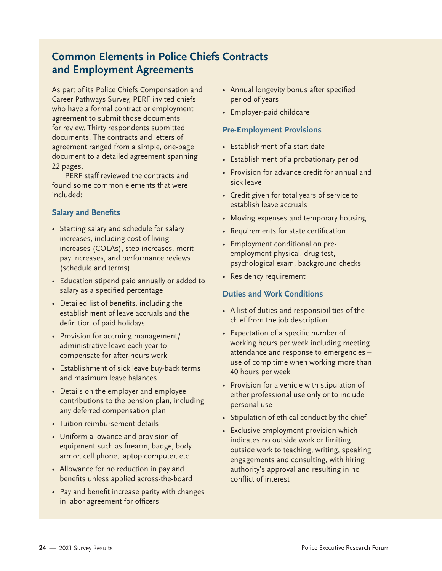### **Common Elements in Police Chiefs Contracts and Employment Agreements**

As part of its Police Chiefs Compensation and Career Pathways Survey, PERF invited chiefs who have a formal contract or employment agreement to submit those documents for review. Thirty respondents submitted documents. The contracts and letters of agreement ranged from a simple, one-page document to a detailed agreement spanning 22 pages.

PERF staff reviewed the contracts and found some common elements that were included:

#### **Salary and Benefits**

- Starting salary and schedule for salary increases, including cost of living increases (COLAs), step increases, merit pay increases, and performance reviews (schedule and terms)
- Education stipend paid annually or added to salary as a specified percentage
- Detailed list of benefits, including the establishment of leave accruals and the definition of paid holidays
- Provision for accruing management/ administrative leave each year to compensate for after-hours work
- Establishment of sick leave buy-back terms and maximum leave balances
- Details on the employer and employee contributions to the pension plan, including any deferred compensation plan
- Tuition reimbursement details
- Uniform allowance and provision of equipment such as firearm, badge, body armor, cell phone, laptop computer, etc.
- Allowance for no reduction in pay and benefits unless applied across-the-board
- Pay and benefit increase parity with changes in labor agreement for officers
- Annual longevity bonus after specified period of years
- Employer-paid childcare

#### **Pre-Employment Provisions**

- Establishment of a start date
- Establishment of a probationary period
- Provision for advance credit for annual and sick leave
- Credit given for total years of service to establish leave accruals
- Moving expenses and temporary housing
- Requirements for state certification
- Employment conditional on preemployment physical, drug test, psychological exam, background checks
- Residency requirement

#### **Duties and Work Conditions**

- A list of duties and responsibilities of the chief from the job description
- Expectation of a specific number of working hours per week including meeting attendance and response to emergencies – use of comp time when working more than 40 hours per week
- Provision for a vehicle with stipulation of either professional use only or to include personal use
- Stipulation of ethical conduct by the chief
- Exclusive employment provision which indicates no outside work or limiting outside work to teaching, writing, speaking engagements and consulting, with hiring authority's approval and resulting in no conflict of interest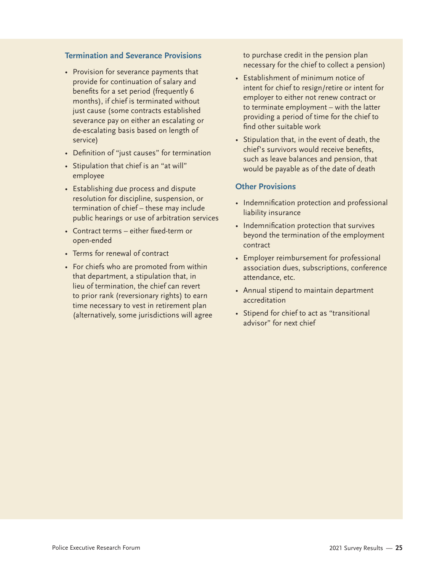#### **Termination and Severance Provisions**

- Provision for severance payments that provide for continuation of salary and benefits for a set period (frequently 6 months), if chief is terminated without just cause (some contracts established severance pay on either an escalating or de-escalating basis based on length of service)
- Definition of "just causes" for termination
- Stipulation that chief is an "at will" employee
- Establishing due process and dispute resolution for discipline, suspension, or termination of chief – these may include public hearings or use of arbitration services
- Contract terms either fixed-term or open-ended
- Terms for renewal of contract
- For chiefs who are promoted from within that department, a stipulation that, in lieu of termination, the chief can revert to prior rank (reversionary rights) to earn time necessary to vest in retirement plan (alternatively, some jurisdictions will agree

to purchase credit in the pension plan necessary for the chief to collect a pension)

- Establishment of minimum notice of intent for chief to resign/retire or intent for employer to either not renew contract or to terminate employment – with the latter providing a period of time for the chief to find other suitable work
- Stipulation that, in the event of death, the chief's survivors would receive benefits, such as leave balances and pension, that would be payable as of the date of death

#### **Other Provisions**

- Indemnification protection and professional liability insurance
- Indemnification protection that survives beyond the termination of the employment contract
- Employer reimbursement for professional association dues, subscriptions, conference attendance, etc.
- Annual stipend to maintain department accreditation
- Stipend for chief to act as "transitional advisor" for next chief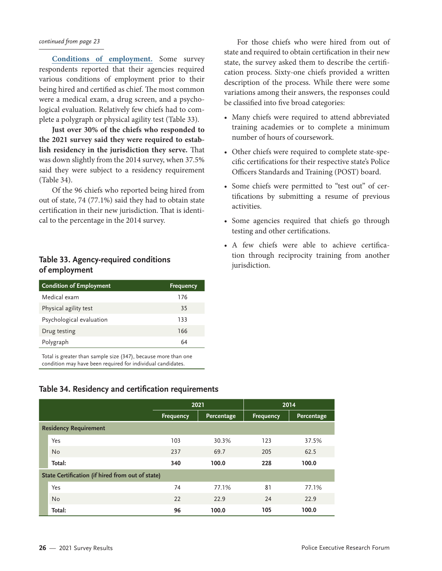#### *continued from page 23*

**Conditions of employment.** Some survey respondents reported that their agencies required various conditions of employment prior to their being hired and certified as chief. The most common were a medical exam, a drug screen, and a psychological evaluation. Relatively few chiefs had to complete a polygraph or physical agility test (Table 33).

**Just over 30% of the chiefs who responded to the 2021 survey said they were required to establish residency in the jurisdiction they serve.** That was down slightly from the 2014 survey, when 37.5% said they were subject to a residency requirement (Table 34).

Of the 96 chiefs who reported being hired from out of state, 74 (77.1%) said they had to obtain state certification in their new jurisdiction. That is identical to the percentage in the 2014 survey.

#### **Table 33. Agency-required conditions of employment**

| <b>Condition of Employment</b> | <b>Frequency</b> |
|--------------------------------|------------------|
| Medical exam                   | 176              |
| Physical agility test          | 35               |
| Psychological evaluation       | 133              |
| Drug testing                   | 166              |
| Polygraph                      | 64               |

Total is greater than sample size (347), because more than one condition may have been required for individual candidates.

For those chiefs who were hired from out of state and required to obtain certification in their new state, the survey asked them to describe the certification process. Sixty-one chiefs provided a written description of the process. While there were some variations among their answers, the responses could be classified into five broad categories:

- Many chiefs were required to attend abbreviated training academies or to complete a minimum number of hours of coursework.
- Other chiefs were required to complete state-specific certifications for their respective state's Police Officers Standards and Training (POST) board.
- Some chiefs were permitted to "test out" of certifications by submitting a resume of previous activities.
- Some agencies required that chiefs go through testing and other certifications.
- A few chiefs were able to achieve certification through reciprocity training from another jurisdiction.

#### **Table 34. Residency and certification requirements**

|                                                  |                              | 2021             |            |                  | 2014       |  |  |
|--------------------------------------------------|------------------------------|------------------|------------|------------------|------------|--|--|
|                                                  |                              | <b>Frequency</b> | Percentage | <b>Frequency</b> | Percentage |  |  |
|                                                  | <b>Residency Requirement</b> |                  |            |                  |            |  |  |
|                                                  | Yes                          | 103              | 30.3%      | 123              | 37.5%      |  |  |
|                                                  | <b>No</b>                    | 237              | 69.7       | 205              | 62.5       |  |  |
|                                                  | Total:                       | 340              | 100.0      | 228              | 100.0      |  |  |
| State Certification (if hired from out of state) |                              |                  |            |                  |            |  |  |
|                                                  | Yes                          | 74               | 77.1%      | 81               | 77.1%      |  |  |
|                                                  | No                           | 22               | 22.9       | 24               | 22.9       |  |  |
|                                                  | Total:                       | 96               | 100.0      | 105              | 100.0      |  |  |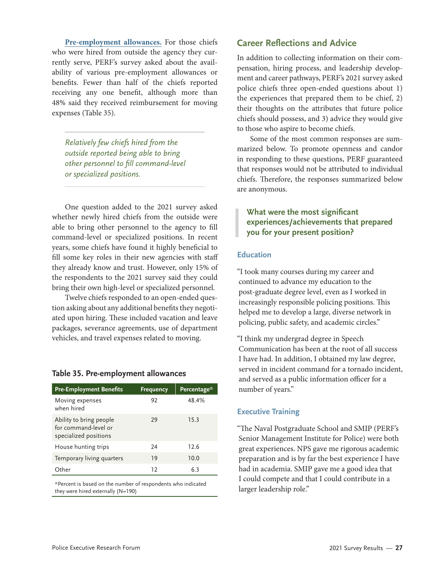**Pre-employment allowances.** For those chiefs who were hired from outside the agency they currently serve, PERF's survey asked about the availability of various pre-employment allowances or benefits. Fewer than half of the chiefs reported receiving any one benefit, although more than 48% said they received reimbursement for moving expenses (Table 35).

*Relatively few chiefs hired from the outside reported being able to bring other personnel to fill command-level or specialized positions.*

One question added to the 2021 survey asked whether newly hired chiefs from the outside were able to bring other personnel to the agency to fill command-level or specialized positions. In recent years, some chiefs have found it highly beneficial to fill some key roles in their new agencies with staff they already know and trust. However, only 15% of the respondents to the 2021 survey said they could bring their own high-level or specialized personnel.

Twelve chiefs responded to an open-ended question asking about any additional benefits they negotiated upon hiring. These included vacation and leave packages, severance agreements, use of department vehicles, and travel expenses related to moving.

#### **Table 35. Pre-employment allowances**

| <b>Pre-Employment Benefits</b>                                           | <b>Frequency</b> | Percentage* |
|--------------------------------------------------------------------------|------------------|-------------|
| Moving expenses<br>when hired                                            | 92               | 48.4%       |
| Ability to bring people<br>for command-level or<br>specialized positions | 29               | 15.3        |
| House hunting trips                                                      | 24               | 12.6        |
| Temporary living quarters                                                | 19               | 10.0        |
| Other                                                                    | 12               | 6.3         |

\*Percent is based on the number of respondents who indicated they were hired externally (N=190)

#### **Career Reflections and Advice**

In addition to collecting information on their compensation, hiring process, and leadership development and career pathways, PERF's 2021 survey asked police chiefs three open-ended questions about 1) the experiences that prepared them to be chief, 2) their thoughts on the attributes that future police chiefs should possess, and 3) advice they would give to those who aspire to become chiefs.

Some of the most common responses are summarized below. To promote openness and candor in responding to these questions, PERF guaranteed that responses would not be attributed to individual chiefs. Therefore, the responses summarized below are anonymous.

#### **What were the most significant experiences/achievements that prepared you for your present position?**

#### **Education**

"I took many courses during my career and continued to advance my education to the post-graduate degree level, even as I worked in increasingly responsible policing positions. This helped me to develop a large, diverse network in policing, public safety, and academic circles."

"I think my undergrad degree in Speech Communication has been at the root of all success I have had. In addition, I obtained my law degree, served in incident command for a tornado incident, and served as a public information officer for a number of years."

#### **Executive Training**

"The Naval Postgraduate School and SMIP (PERF's Senior Management Institute for Police) were both great experiences. NPS gave me rigorous academic preparation and is by far the best experience I have had in academia. SMIP gave me a good idea that I could compete and that I could contribute in a larger leadership role."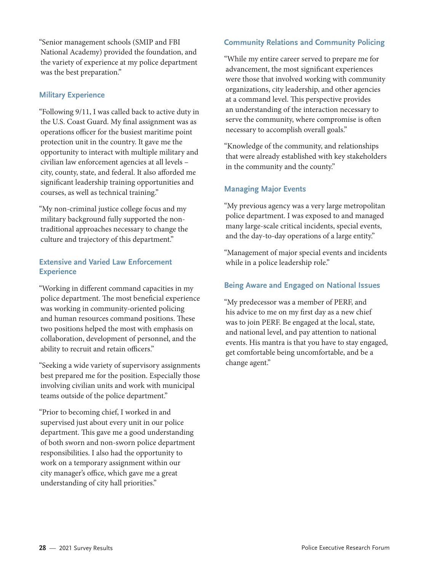"Senior management schools (SMIP and FBI National Academy) provided the foundation, and the variety of experience at my police department was the best preparation."

#### **Military Experience**

"Following 9/11, I was called back to active duty in the U.S. Coast Guard. My final assignment was as operations officer for the busiest maritime point protection unit in the country. It gave me the opportunity to interact with multiple military and civilian law enforcement agencies at all levels – city, county, state, and federal. It also afforded me significant leadership training opportunities and courses, as well as technical training."

"My non-criminal justice college focus and my military background fully supported the nontraditional approaches necessary to change the culture and trajectory of this department."

#### **Extensive and Varied Law Enforcement Experience**

"Working in different command capacities in my police department. The most beneficial experience was working in community-oriented policing and human resources command positions. These two positions helped the most with emphasis on collaboration, development of personnel, and the ability to recruit and retain officers."

"Seeking a wide variety of supervisory assignments best prepared me for the position. Especially those involving civilian units and work with municipal teams outside of the police department."

"Prior to becoming chief, I worked in and supervised just about every unit in our police department. This gave me a good understanding of both sworn and non-sworn police department responsibilities. I also had the opportunity to work on a temporary assignment within our city manager's office, which gave me a great understanding of city hall priorities."

#### **Community Relations and Community Policing**

"While my entire career served to prepare me for advancement, the most significant experiences were those that involved working with community organizations, city leadership, and other agencies at a command level. This perspective provides an understanding of the interaction necessary to serve the community, where compromise is often necessary to accomplish overall goals."

"Knowledge of the community, and relationships that were already established with key stakeholders in the community and the county."

#### **Managing Major Events**

"My previous agency was a very large metropolitan police department. I was exposed to and managed many large-scale critical incidents, special events, and the day-to-day operations of a large entity."

"Management of major special events and incidents while in a police leadership role."

#### **Being Aware and Engaged on National Issues**

"My predecessor was a member of PERF, and his advice to me on my first day as a new chief was to join PERF. Be engaged at the local, state, and national level, and pay attention to national events. His mantra is that you have to stay engaged, get comfortable being uncomfortable, and be a change agent."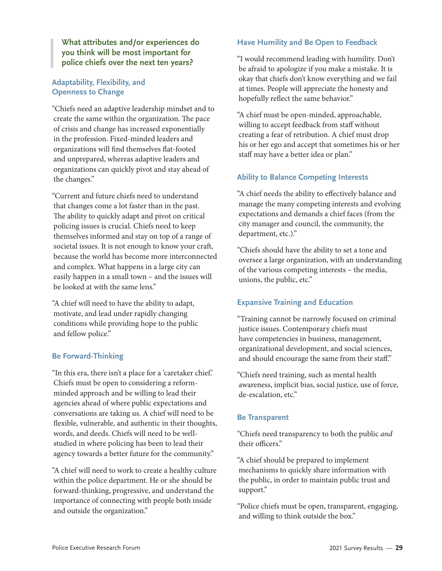**What attributes and/or experiences do you think will be most important for police chiefs over the next ten years?**

#### **Adaptability, Flexibility, and Openness to Change**

"Chiefs need an adaptive leadership mindset and to create the same within the organization. The pace of crisis and change has increased exponentially in the profession. Fixed-minded leaders and organizations will find themselves flat-footed and unprepared, whereas adaptive leaders and organizations can quickly pivot and stay ahead of the changes."

"Current and future chiefs need to understand that changes come a lot faster than in the past. The ability to quickly adapt and pivot on critical policing issues is crucial. Chiefs need to keep themselves informed and stay on top of a range of societal issues. It is not enough to know your craft, because the world has become more interconnected and complex. What happens in a large city can easily happen in a small town – and the issues will be looked at with the same lens."

"A chief will need to have the ability to adapt, motivate, and lead under rapidly changing conditions while providing hope to the public and fellow police."

#### **Be Forward-Thinking**

"In this era, there isn't a place for a 'caretaker chief.' Chiefs must be open to considering a reformminded approach and be willing to lead their agencies ahead of where public expectations and conversations are taking us. A chief will need to be flexible, vulnerable, and authentic in their thoughts, words, and deeds. Chiefs will need to be wellstudied in where policing has been to lead their agency towards a better future for the community."

"A chief will need to work to create a healthy culture within the police department. He or she should be forward-thinking, progressive, and understand the importance of connecting with people both inside and outside the organization."

#### **Have Humility and Be Open to Feedback**

"I would recommend leading with humility. Don't be afraid to apologize if you make a mistake. It is okay that chiefs don't know everything and we fail at times. People will appreciate the honesty and hopefully reflect the same behavior."

"A chief must be open-minded, approachable, willing to accept feedback from staff without creating a fear of retribution. A chief must drop his or her ego and accept that sometimes his or her staff may have a better idea or plan."

#### **Ability to Balance Competing Interests**

"A chief needs the ability to effectively balance and manage the many competing interests and evolving expectations and demands a chief faces (from the city manager and council, the community, the department, etc.)."

"Chiefs should have the ability to set a tone and oversee a large organization, with an understanding of the various competing interests – the media, unions, the public, etc."

#### **Expansive Training and Education**

"Training cannot be narrowly focused on criminal justice issues. Contemporary chiefs must have competencies in business, management, organizational development, and social sciences, and should encourage the same from their staff."

"Chiefs need training, such as mental health awareness, implicit bias, social justice, use of force, de-escalation, etc."

#### **Be Transparent**

"Chiefs need transparency to both the public *and* their officers."

"A chief should be prepared to implement mechanisms to quickly share information with the public, in order to maintain public trust and support."

"Police chiefs must be open, transparent, engaging, and willing to think outside the box."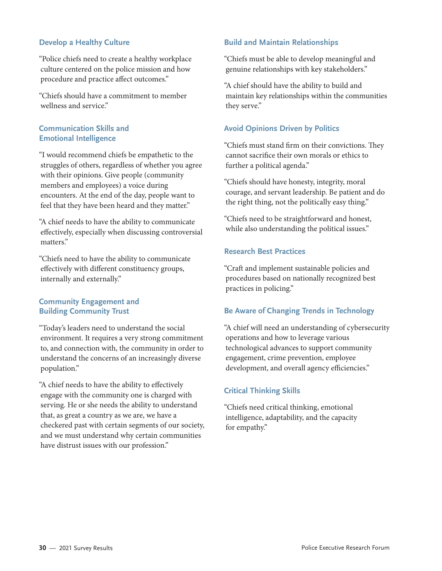#### **Develop a Healthy Culture**

"Police chiefs need to create a healthy workplace culture centered on the police mission and how procedure and practice affect outcomes."

"Chiefs should have a commitment to member wellness and service."

#### **Communication Skills and Emotional Intelligence**

"I would recommend chiefs be empathetic to the struggles of others, regardless of whether you agree with their opinions. Give people (community members and employees) a voice during encounters. At the end of the day, people want to feel that they have been heard and they matter."

"A chief needs to have the ability to communicate effectively, especially when discussing controversial matters."

"Chiefs need to have the ability to communicate effectively with different constituency groups, internally and externally."

#### **Community Engagement and Building Community Trust**

"Today's leaders need to understand the social environment. It requires a very strong commitment to, and connection with, the community in order to understand the concerns of an increasingly diverse population."

"A chief needs to have the ability to effectively engage with the community one is charged with serving. He or she needs the ability to understand that, as great a country as we are, we have a checkered past with certain segments of our society, and we must understand why certain communities have distrust issues with our profession."

#### **Build and Maintain Relationships**

"Chiefs must be able to develop meaningful and genuine relationships with key stakeholders."

"A chief should have the ability to build and maintain key relationships within the communities they serve."

#### **Avoid Opinions Driven by Politics**

"Chiefs must stand firm on their convictions. They cannot sacrifice their own morals or ethics to further a political agenda."

"Chiefs should have honesty, integrity, moral courage, and servant leadership. Be patient and do the right thing, not the politically easy thing."

"Chiefs need to be straightforward and honest, while also understanding the political issues."

#### **Research Best Practices**

"Craft and implement sustainable policies and procedures based on nationally recognized best practices in policing."

#### **Be Aware of Changing Trends in Technology**

"A chief will need an understanding of cybersecurity operations and how to leverage various technological advances to support community engagement, crime prevention, employee development, and overall agency efficiencies."

#### **Critical Thinking Skills**

"Chiefs need critical thinking, emotional intelligence, adaptability, and the capacity for empathy."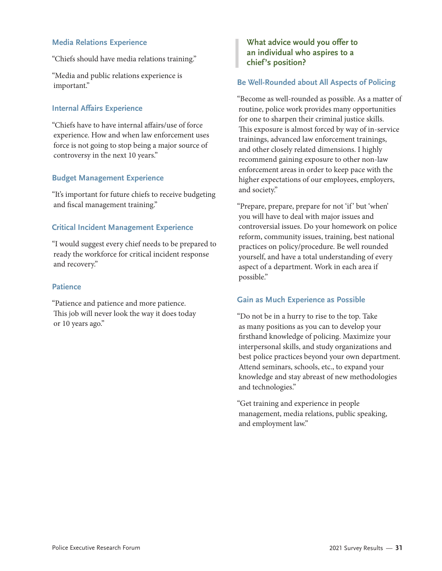#### **Media Relations Experience**

"Chiefs should have media relations training."

"Media and public relations experience is important."

#### **Internal Affairs Experience**

"Chiefs have to have internal affairs/use of force experience. How and when law enforcement uses force is not going to stop being a major source of controversy in the next 10 years."

#### **Budget Management Experience**

"It's important for future chiefs to receive budgeting and fiscal management training."

#### **Critical Incident Management Experience**

"I would suggest every chief needs to be prepared to ready the workforce for critical incident response and recovery."

#### **Patience**

"Patience and patience and more patience. This job will never look the way it does today or 10 years ago."

#### **What advice would you offer to an individual who aspires to a chief's position?**

#### **Be Well-Rounded about All Aspects of Policing**

"Become as well-rounded as possible. As a matter of routine, police work provides many opportunities for one to sharpen their criminal justice skills. This exposure is almost forced by way of in-service trainings, advanced law enforcement trainings, and other closely related dimensions. I highly recommend gaining exposure to other non-law enforcement areas in order to keep pace with the higher expectations of our employees, employers, and society."

"Prepare, prepare, prepare for not 'if ' but 'when' you will have to deal with major issues and controversial issues. Do your homework on police reform, community issues, training, best national practices on policy/procedure. Be well rounded yourself, and have a total understanding of every aspect of a department. Work in each area if possible."

#### **Gain as Much Experience as Possible**

"Do not be in a hurry to rise to the top. Take as many positions as you can to develop your firsthand knowledge of policing. Maximize your interpersonal skills, and study organizations and best police practices beyond your own department. Attend seminars, schools, etc., to expand your knowledge and stay abreast of new methodologies and technologies."

"Get training and experience in people management, media relations, public speaking, and employment law."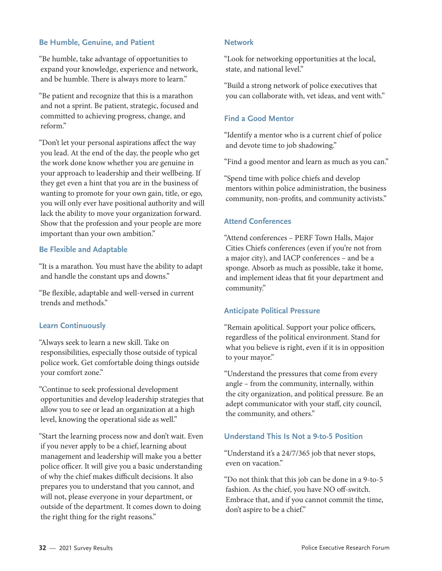#### **Be Humble, Genuine, and Patient**

"Be humble, take advantage of opportunities to expand your knowledge, experience and network, and be humble. There is always more to learn."

"Be patient and recognize that this is a marathon and not a sprint. Be patient, strategic, focused and committed to achieving progress, change, and reform."

"Don't let your personal aspirations affect the way you lead. At the end of the day, the people who get the work done know whether you are genuine in your approach to leadership and their wellbeing. If they get even a hint that you are in the business of wanting to promote for your own gain, title, or ego, you will only ever have positional authority and will lack the ability to move your organization forward. Show that the profession and your people are more important than your own ambition."

#### **Be Flexible and Adaptable**

"It is a marathon. You must have the ability to adapt and handle the constant ups and downs."

"Be flexible, adaptable and well-versed in current trends and methods."

#### **Learn Continuously**

"Always seek to learn a new skill. Take on responsibilities, especially those outside of typical police work. Get comfortable doing things outside your comfort zone."

"Continue to seek professional development opportunities and develop leadership strategies that allow you to see or lead an organization at a high level, knowing the operational side as well."

"Start the learning process now and don't wait. Even if you never apply to be a chief, learning about management and leadership will make you a better police officer. It will give you a basic understanding of why the chief makes difficult decisions. It also prepares you to understand that you cannot, and will not, please everyone in your department, or outside of the department. It comes down to doing the right thing for the right reasons."

#### **Network**

"Look for networking opportunities at the local, state, and national level."

"Build a strong network of police executives that you can collaborate with, vet ideas, and vent with."

#### **Find a Good Mentor**

"Identify a mentor who is a current chief of police and devote time to job shadowing."

"Find a good mentor and learn as much as you can."

"Spend time with police chiefs and develop mentors within police administration, the business community, non-profits, and community activists."

#### **Attend Conferences**

"Attend conferences – PERF Town Halls, Major Cities Chiefs conferences (even if you're not from a major city), and IACP conferences – and be a sponge. Absorb as much as possible, take it home, and implement ideas that fit your department and community."

#### **Anticipate Political Pressure**

"Remain apolitical. Support your police officers, regardless of the political environment. Stand for what you believe is right, even if it is in opposition to your mayor."

"Understand the pressures that come from every angle – from the community, internally, within the city organization, and political pressure. Be an adept communicator with your staff, city council, the community, and others."

#### **Understand This Is Not a 9-to-5 Position**

"Understand it's a 24/7/365 job that never stops, even on vacation."

"Do not think that this job can be done in a 9-to-5 fashion. As the chief, you have NO off-switch. Embrace that, and if you cannot commit the time, don't aspire to be a chief."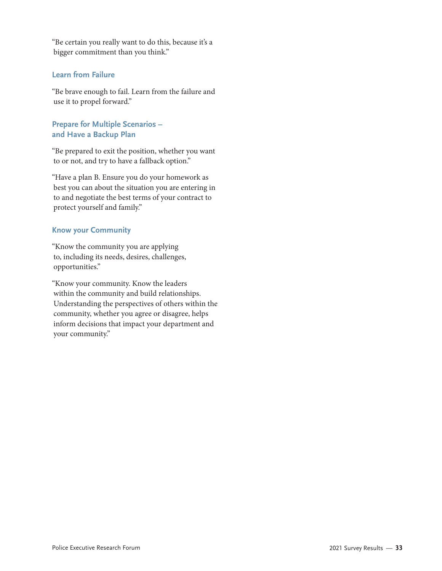"Be certain you really want to do this, because it's a bigger commitment than you think."

#### **Learn from Failure**

"Be brave enough to fail. Learn from the failure and use it to propel forward."

#### **Prepare for Multiple Scenarios – and Have a Backup Plan**

"Be prepared to exit the position, whether you want to or not, and try to have a fallback option."

"Have a plan B. Ensure you do your homework as best you can about the situation you are entering in to and negotiate the best terms of your contract to protect yourself and family."

#### **Know your Community**

"Know the community you are applying to, including its needs, desires, challenges, opportunities."

"Know your community. Know the leaders within the community and build relationships. Understanding the perspectives of others within the community, whether you agree or disagree, helps inform decisions that impact your department and your community."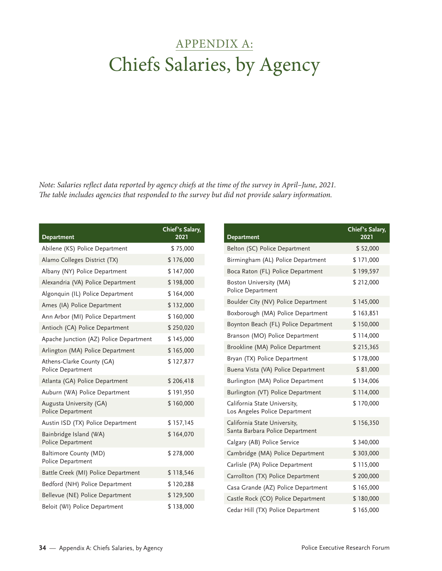## <span id="page-39-0"></span>APPENDIX A: Chiefs Salaries, by Agency

*Note: Salaries reflect data reported by agency chiefs at the time of the survey in April–June, 2021. The table includes agencies that responded to the survey but did not provide salary information.*

| <b>Department</b>                              | Chief's Salary,<br>2021 |
|------------------------------------------------|-------------------------|
| Abilene (KS) Police Department                 | \$75,000                |
| Alamo Colleges District (TX)                   | \$176,000               |
| Albany (NY) Police Department                  | \$147,000               |
| Alexandria (VA) Police Department              | \$198,000               |
| Algonquin (IL) Police Department               | \$164,000               |
| Ames (IA) Police Department                    | \$132,000               |
| Ann Arbor (MI) Police Department               | \$160,000               |
| Antioch (CA) Police Department                 | \$250,020               |
| Apache Junction (AZ) Police Department         | \$145,000               |
| Arlington (MA) Police Department               | \$165,000               |
| Athens-Clarke County (GA)<br>Police Department | \$127,877               |
| Atlanta (GA) Police Department                 | \$206,418               |
| Auburn (WA) Police Department                  | \$191,950               |
| Augusta University (GA)<br>Police Department   | \$160,000               |
| Austin ISD (TX) Police Department              | \$157,145               |
| Bainbridge Island (WA)<br>Police Department    | \$164,070               |
| Baltimore County (MD)<br>Police Department     | \$278,000               |
| Battle Creek (MI) Police Department            | \$118,546               |
| Bedford (NH) Police Department                 | \$120,288               |
| Bellevue (NE) Police Department                | \$129,500               |
| Beloit (WI) Police Department                  | \$138,000               |

| <b>Department</b>                                               | Chief's Salary,<br>2021 |
|-----------------------------------------------------------------|-------------------------|
| Belton (SC) Police Department                                   | \$52,000                |
| Birmingham (AL) Police Department                               | \$171,000               |
| Boca Raton (FL) Police Department                               | \$199,597               |
| Boston University (MA)<br>Police Department                     | \$212,000               |
| Boulder City (NV) Police Department                             | \$145,000               |
| Boxborough (MA) Police Department                               | \$163,851               |
| Boynton Beach (FL) Police Department                            | \$150,000               |
| Branson (MO) Police Department                                  | \$114,000               |
| Brookline (MA) Police Department                                | \$215,365               |
| Bryan (TX) Police Department                                    | \$178,000               |
| Buena Vista (VA) Police Department                              | \$81,000                |
| Burlington (MA) Police Department                               | \$134,006               |
| Burlington (VT) Police Department                               | \$114,000               |
| California State University,<br>Los Angeles Police Department   | \$170,000               |
| California State University,<br>Santa Barbara Police Department | \$156,350               |
| Calgary (AB) Police Service                                     | \$340,000               |
| Cambridge (MA) Police Department                                | \$303,000               |
| Carlisle (PA) Police Department                                 | \$115,000               |
| Carrollton (TX) Police Department                               | \$200,000               |
| Casa Grande (AZ) Police Department                              | \$165,000               |
| Castle Rock (CO) Police Department                              | \$180,000               |
| Cedar Hill (TX) Police Department                               | \$165,000               |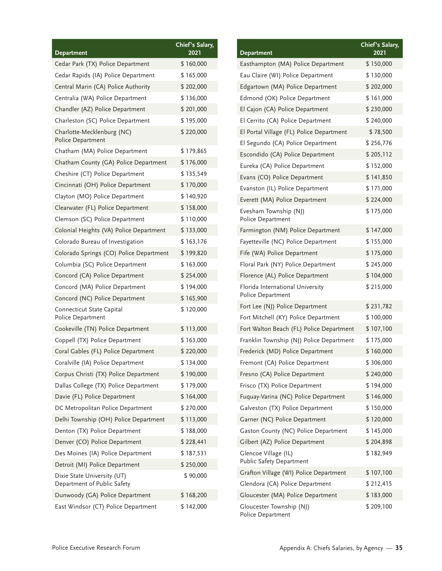| <b>Department</b>                                          | Chief's Salary,<br>2021 |
|------------------------------------------------------------|-------------------------|
| Cedar Park (TX) Police Department                          | \$160,000               |
| Cedar Rapids (IA) Police Department                        | \$165,000               |
| Central Marin (CA) Police Authority                        | \$202,000               |
| Centralia (WA) Police Department                           | \$136,000               |
| Chandler (AZ) Police Department                            | \$201,000               |
| Charleston (SC) Police Department                          | \$195,000               |
| Charlotte-Mecklenburg (NC)<br>Police Department            | \$220,000               |
| Chatham (MA) Police Department                             | \$179,865               |
| Chatham County (GA) Police Department                      | \$176,000               |
| Cheshire (CT) Police Department                            | \$135,549               |
| Cincinnati (OH) Police Department                          | \$170,000               |
| Clayton (MO) Police Department                             | \$140,920               |
| Clearwater (FL) Police Department                          | \$158,000               |
| Clemson (SC) Police Department                             | \$110,000               |
| Colonial Heights (VA) Police Department                    | \$133,000               |
| Colorado Bureau of Investigation                           | \$163,176               |
| Colorado Springs (CO) Police Department                    | \$199,820               |
| Columbia (SC) Police Department                            | \$163,000               |
| Concord (CA) Police Department                             | \$254,000               |
| Concord (MA) Police Department                             | \$194,000               |
| Concord (NC) Police Department                             | \$165,900               |
| Connecticut State Capital<br>Police Department             | \$120,000               |
| Cookeville (TN) Police Department                          | \$113,000               |
| Coppell (TX) Police Department                             | \$163,000               |
| Coral Gables (FL) Police Department                        | \$220,000               |
| Coralville (IA) Police Department                          | \$134,000               |
| Corpus Christi (TX) Police Department                      | \$190,000               |
| Dallas College (TX) Police Department                      | \$179,000               |
| Davie (FL) Police Department                               | \$164,000               |
| DC Metropolitan Police Department                          | \$270,000               |
| Delhi Township (OH) Police Department                      | \$113,000               |
| Denton (TX) Police Department                              | \$188,000               |
| Denver (CO) Police Department                              | \$228,441               |
| Des Moines (IA) Police Department                          | \$187,531               |
| Detroit (MI) Police Department                             | \$250,000               |
| Dixie State University (UT)<br>Department of Public Safety | \$90,000                |
| Dunwoody (GA) Police Department                            | \$168,200               |
| East Windsor (CT) Police Department                        | \$142,000               |

| <b>Department</b>                                       | Chief's Salary,<br>2021 |
|---------------------------------------------------------|-------------------------|
| Easthampton (MA) Police Department                      | \$150,000               |
| Eau Claire (WI) Police Department                       | \$130,000               |
| Edgartown (MA) Police Department                        | \$202,000               |
| Edmond (OK) Police Department                           | \$161,000               |
| El Cajon (CA) Police Department                         | \$230,000               |
| El Cerrito (CA) Police Department                       | \$240,000               |
| El Portal Village (FL) Police Department                | \$78,500                |
| El Segundo (CA) Police Department                       | \$256,776               |
| Escondido (CA) Police Department                        | \$205,112               |
| Eureka (CA) Police Department                           | \$152,000               |
| Evans (CO) Police Department                            | \$141,850               |
| Evanston (IL) Police Department                         | \$171,000               |
| Everett (MA) Police Department                          | \$224,000               |
| Evesham Township (NJ)<br>Police Department              | \$175,000               |
| Farmington (NM) Police Department                       | \$147,000               |
| Fayetteville (NC) Police Department                     | \$155,000               |
| Fife (WA) Police Department                             | \$175,000               |
| Floral Park (NY) Police Department                      | \$245,000               |
| Florence (AL) Police Department                         | \$104,000               |
| Florida International University<br>Police Department   | \$215,000               |
| Fort Lee (NJ) Police Department                         | \$231,782               |
| Fort Mitchell (KY) Police Department                    | \$100,000               |
| Fort Walton Beach (FL) Police Department                | \$107,100               |
| Franklin Township (NJ) Police Department                | \$175,000               |
| Frederick (MD) Police Department                        | \$160,000               |
| Fremont (CA) Police Department                          | \$306,000               |
| Fresno (CA) Police Department                           | \$240,000               |
| Frisco (TX) Police Department                           | \$194,000               |
| Fuquay-Varina (NC) Police Department                    | \$146,000               |
| Galveston (TX) Police Department                        | \$150,000               |
| Garner (NC) Police Department                           | \$120,000               |
| Gaston County (NC) Police Department                    | \$145,000               |
| Gilbert (AZ) Police Department                          | \$204,898               |
| Glencoe Village (IL)<br><b>Public Safety Department</b> | \$182,949               |
| Grafton Village (WI) Police Department                  | \$107,100               |
| Glendora (CA) Police Department                         | \$212,415               |
| Gloucester (MA) Police Department                       | \$183,000               |
| Gloucester Township (NJ)<br>Police Department           | \$209,100               |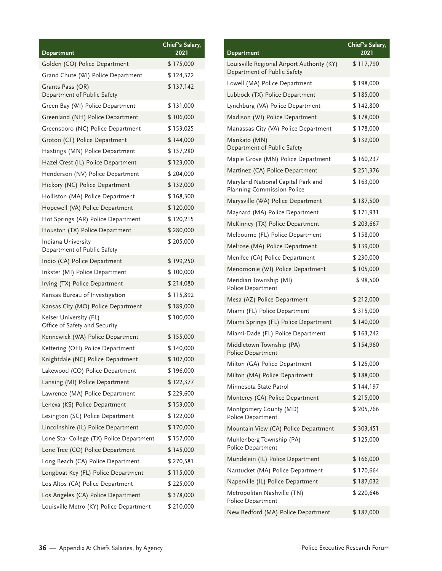| Department                                              | Chief's Salary,<br>2021 |
|---------------------------------------------------------|-------------------------|
| Golden (CO) Police Department                           | \$175,000               |
|                                                         |                         |
| Grand Chute (WI) Police Department                      | \$124,322               |
| Grants Pass (OR)<br>Department of Public Safety         | \$137,142               |
| Green Bay (WI) Police Department                        | \$131,000               |
| Greenland (NH) Police Department                        | \$106,000               |
| Greensboro (NC) Police Department                       | \$153,025               |
| Groton (CT) Police Department                           | \$144,000               |
| Hastings (MN) Police Department                         | \$137,280               |
| Hazel Crest (IL) Police Department                      | \$123,000               |
| Henderson (NV) Police Department                        | \$204,000               |
| Hickory (NC) Police Department                          | \$132,000               |
| Holliston (MA) Police Department                        | \$168,300               |
| Hopewell (VA) Police Department                         | \$120,000               |
| Hot Springs (AR) Police Department                      | \$120,215               |
| Houston (TX) Police Department                          | \$280,000               |
| Indiana University<br>Department of Public Safety       | \$205,000               |
| Indio (CA) Police Department                            | \$199,250               |
| Inkster (MI) Police Department                          | \$100,000               |
| Irving (TX) Police Department                           | \$214,080               |
| Kansas Bureau of Investigation                          | \$115,892               |
| Kansas City (MO) Police Department                      | \$189,000               |
| Keiser University (FL)<br>Office of Safety and Security | \$100,000               |
| Kennewick (WA) Police Department                        | \$155,000               |
| Kettering (OH) Police Department                        | \$140,000               |
| Knightdale (NC) Police Department                       | \$107,000               |
| Lakewood (CO) Police Department                         | \$196,000               |
| Lansing (MI) Police Department                          | \$122,377               |
| Lawrence (MA) Police Department                         | \$229,600               |
| Lenexa (KS) Police Department                           | \$153,000               |
| Lexington (SC) Police Department                        | \$122,000               |
| Lincolnshire (IL) Police Department                     | \$170,000               |
| Lone Star College (TX) Police Department                | \$157,000               |
| Lone Tree (CO) Police Department                        | \$145,000               |
| Long Beach (CA) Police Department                       | \$270,581               |
| Longboat Key (FL) Police Department                     | \$115,000               |
| Los Altos (CA) Police Department                        | \$225,000               |
| Los Angeles (CA) Police Department                      | \$378,000               |
| Louisville Metro (KY) Police Department                 | \$210,000               |

| Department                                                                | Chief's Salary,<br>2021 |
|---------------------------------------------------------------------------|-------------------------|
| Louisville Regional Airport Authority (KY)<br>Department of Public Safety | \$117,790               |
| Lowell (MA) Police Department                                             | \$198,000               |
| Lubbock (TX) Police Department                                            | \$185,000               |
| Lynchburg (VA) Police Department                                          | \$142,800               |
| Madison (WI) Police Department                                            | \$178,000               |
| Manassas City (VA) Police Department                                      | \$178,000               |
| Mankato (MN)<br>Department of Public Safety                               | \$132,000               |
| Maple Grove (MN) Police Department                                        | \$160,237               |
| Martinez (CA) Police Department                                           | \$251,376               |
| Maryland National Capital Park and<br>Planning Commission Police          | \$163,000               |
| Marysville (WA) Police Department                                         | \$187,500               |
| Maynard (MA) Police Department                                            | \$171,931               |
| McKinney (TX) Police Department                                           | \$203,667               |
| Melbourne (FL) Police Department                                          | \$158,000               |
| Melrose (MA) Police Department                                            | \$139,000               |
| Menifee (CA) Police Department                                            | \$230,000               |
| Menomonie (WI) Police Department                                          | \$105,000               |
| Meridian Township (MI)<br>Police Department                               | \$98,500                |
| Mesa (AZ) Police Department                                               | \$212,000               |
| Miami (FL) Police Department                                              | \$315,000               |
| Miami Springs (FL) Police Department                                      | \$140,000               |
| Miami-Dade (FL) Police Department                                         | \$163,242               |
| Middletown Township (PA)<br>Police Department                             | \$154,960               |
| Milton (GA) Police Department                                             | \$125,000               |
| Milton (MA) Police Department                                             | \$188,000               |
| Minnesota State Patrol                                                    | \$144,197               |
| Monterey (CA) Police Department                                           | \$215,000               |
| Montgomery County (MD)<br>Police Department                               | \$205,766               |
| Mountain View (CA) Police Department                                      | \$303,451               |
| Muhlenberg Township (PA)<br>Police Department                             | \$125,000               |
| Mundelein (IL) Police Department                                          | \$166,000               |
| Nantucket (MA) Police Department                                          | \$170,664               |
| Naperville (IL) Police Department                                         | \$187,032               |
| Metropolitan Nashville (TN)<br>Police Department                          | \$220,646               |
| New Bedford (MA) Police Department                                        | \$187,000               |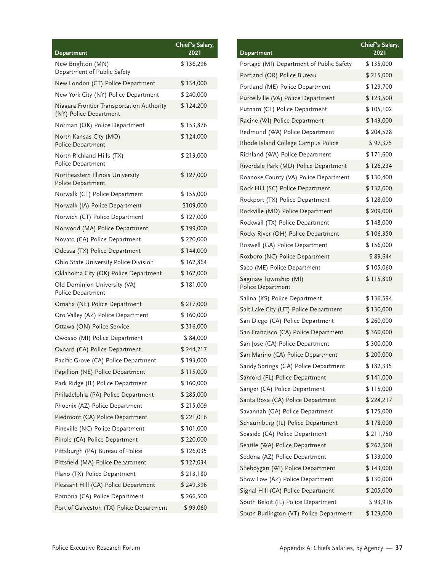| <b>Department</b>                                                   | Chief's Salary,<br>2021 |
|---------------------------------------------------------------------|-------------------------|
| New Brighton (MN)<br>Department of Public Safety                    | \$136,296               |
| New London (CT) Police Department                                   | \$134,000               |
| New York City (NY) Police Department                                | \$240,000               |
| Niagara Frontier Transportation Authority<br>(NY) Police Department | \$124,200               |
| Norman (OK) Police Department                                       | \$153,876               |
| North Kansas City (MO)<br>Police Department                         | \$124,000               |
| North Richland Hills (TX)<br>Police Department                      | \$213,000               |
| Northeastern Illinois University<br>Police Department               | \$127,000               |
| Norwalk (CT) Police Department                                      | \$155,000               |
| Norwalk (IA) Police Department                                      | \$109,000               |
| Norwich (CT) Police Department                                      | \$127,000               |
| Norwood (MA) Police Department                                      | \$199,000               |
| Novato (CA) Police Department                                       | \$220,000               |
| Odessa (TX) Police Department                                       | \$144,000               |
| Ohio State University Police Division                               | \$162,864               |
| Oklahoma City (OK) Police Department                                | \$162,000               |
| Old Dominion University (VA)<br>Police Department                   | \$181,000               |
| Omaha (NE) Police Department                                        | \$217,000               |
| Oro Valley (AZ) Police Department                                   | \$160,000               |
| Ottawa (ON) Police Service                                          | \$316,000               |
| Owosso (MI) Police Department                                       | \$84,000                |
| Oxnard (CA) Police Department                                       | \$244,217               |
| Pacific Grove (CA) Police Department                                | \$193,000               |
| Papillion (NE) Police Department                                    | \$115,000               |
| Park Ridge (IL) Police Department                                   | \$160,000               |
| Philadelphia (PA) Police Department                                 | \$285,000               |
| Phoenix (AZ) Police Department                                      | \$215,009               |
| Piedmont (CA) Police Department                                     | \$221,016               |
| Pineville (NC) Police Department                                    | \$101,000               |
| Pinole (CA) Police Department                                       | \$220,000               |
| Pittsburgh (PA) Bureau of Police                                    | \$126,035               |
| Pittsfield (MA) Police Department                                   | \$127,034               |
| Plano (TX) Police Department                                        | \$213,180               |
| Pleasant Hill (CA) Police Department                                | \$249,396               |
| Pomona (CA) Police Department                                       | \$266,500               |
| Port of Galveston (TX) Police Department                            | \$99,060                |

| <b>Department</b>                          | Chief's Salary,<br>2021 |
|--------------------------------------------|-------------------------|
| Portage (MI) Department of Public Safety   | \$135,000               |
| Portland (OR) Police Bureau                | \$215,000               |
| Portland (ME) Police Department            | \$129,700               |
| Purcellville (VA) Police Department        | \$123,500               |
| Putnam (CT) Police Department              | \$105,102               |
| Racine (WI) Police Department              | \$143,000               |
| Redmond (WA) Police Department             | \$204,528               |
| Rhode Island College Campus Police         | \$97,375                |
| Richland (WA) Police Department            | \$171,600               |
| Riverdale Park (MD) Police Department      | \$126,234               |
| Roanoke County (VA) Police Department      | \$130,400               |
| Rock Hill (SC) Police Department           | \$132,000               |
| Rockport (TX) Police Department            | \$128,000               |
| Rockville (MD) Police Department           | \$209,000               |
| Rockwall (TX) Police Department            | \$148,000               |
| Rocky River (OH) Police Department         | \$106,350               |
| Roswell (GA) Police Department             | \$156,000               |
| Roxboro (NC) Police Department             | \$89,644                |
| Saco (ME) Police Department                | \$105,060               |
| Saginaw Township (MI)<br>Police Department | \$115,890               |
| Salina (KS) Police Department              | \$136,594               |
| Salt Lake City (UT) Police Department      | \$130,000               |
| San Diego (CA) Police Department           | \$260,000               |
| San Francisco (CA) Police Department       | \$360,000               |
| San Jose (CA) Police Department            | \$300,000               |
| San Marino (CA) Police Department          | \$200,000               |
| Sandy Springs (GA) Police Department       | \$182,335               |
| Sanford (FL) Police Department             | \$141,000               |
| Sanger (CA) Police Department              | \$115,000               |
| Santa Rosa (CA) Police Department          | \$224,217               |
| Savannah (GA) Police Department            | \$175,000               |
| Schaumburg (IL) Police Department          | \$178,000               |
| Seaside (CA) Police Department             | \$211,750               |
| Seattle (WA) Police Department             | \$262,500               |
| Sedona (AZ) Police Department              | \$133,000               |
| Sheboygan (WI) Police Department           | \$143,000               |
| Show Low (AZ) Police Department            | \$130,000               |
| Signal Hill (CA) Police Department         | \$205,000               |
| South Beloit (IL) Police Department        | \$93,916                |
| South Burlington (VT) Police Department    | \$123,000               |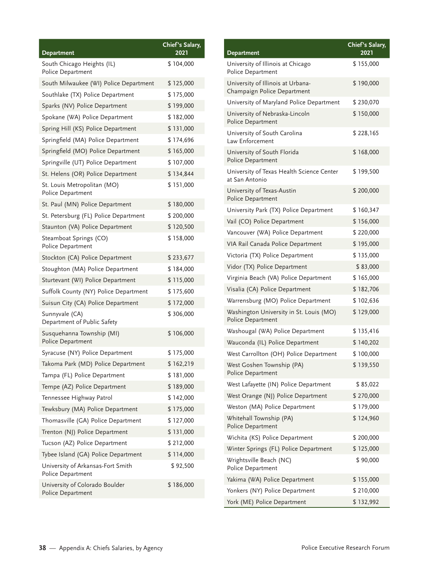|                                                        | Chief's Salary, |
|--------------------------------------------------------|-----------------|
| Department                                             | 2021            |
| South Chicago Heights (IL)<br>Police Department        | \$104,000       |
| South Milwaukee (WI) Police Department                 | \$125,000       |
| Southlake (TX) Police Department                       | \$175,000       |
| Sparks (NV) Police Department                          | \$199,000       |
| Spokane (WA) Police Department                         | \$182,000       |
| Spring Hill (KS) Police Department                     | \$131,000       |
| Springfield (MA) Police Department                     | \$174,696       |
| Springfield (MO) Police Department                     | \$165,000       |
| Springville (UT) Police Department                     | \$107,000       |
| St. Helens (OR) Police Department                      | \$134,844       |
| St. Louis Metropolitan (MO)<br>Police Department       | \$151,000       |
| St. Paul (MN) Police Department                        | \$180,000       |
| St. Petersburg (FL) Police Department                  | \$200,000       |
| Staunton (VA) Police Department                        | \$120,500       |
| Steamboat Springs (CO)<br>Police Department            | \$158,000       |
| Stockton (CA) Police Department                        | \$233,677       |
| Stoughton (MA) Police Department                       | \$184,000       |
| Sturtevant (WI) Police Department                      | \$115,000       |
| Suffolk County (NY) Police Department                  | \$175,600       |
| Suisun City (CA) Police Department                     | \$172,000       |
| Sunnyvale (CA)<br>Department of Public Safety          | \$306,000       |
| Susquehanna Township (MI)<br>Police Department         | \$106,000       |
| Syracuse (NY) Police Department                        | \$175,000       |
| Takoma Park (MD) Police Department                     | \$162,219       |
| Tampa (FL) Police Department                           | \$181,000       |
| Tempe (AZ) Police Department                           | \$189,000       |
| Tennessee Highway Patrol                               | \$142,000       |
| Tewksbury (MA) Police Department                       | \$175,000       |
| Thomasville (GA) Police Department                     | \$127,000       |
| Trenton (NJ) Police Department                         | \$131,000       |
| Tucson (AZ) Police Department                          | \$212,000       |
| Tybee Island (GA) Police Department                    | \$114,000       |
| University of Arkansas-Fort Smith<br>Police Department | \$92,500        |
| University of Colorado Boulder<br>Police Department    | \$186,000       |

| <b>Department</b>                                                | Chief's Salary,<br>2021 |
|------------------------------------------------------------------|-------------------------|
| University of Illinois at Chicago<br>Police Department           | \$155,000               |
| University of Illinois at Urbana-<br>Champaign Police Department | \$190,000               |
| University of Maryland Police Department                         | \$230,070               |
| University of Nebraska-Lincoln<br>Police Department              | \$150,000               |
| University of South Carolina<br>Law Enforcement                  | \$228,165               |
| University of South Florida<br>Police Department                 | \$168,000               |
| University of Texas Health Science Center<br>at San Antonio      | \$199,500               |
| University of Texas-Austin<br>Police Department                  | \$200,000               |
| University Park (TX) Police Department                           | \$160,347               |
| Vail (CO) Police Department                                      | \$156,000               |
| Vancouver (WA) Police Department                                 | \$220,000               |
| VIA Rail Canada Police Department                                | \$195,000               |
| Victoria (TX) Police Department                                  | \$135,000               |
| Vidor (TX) Police Department                                     | \$83,000                |
| Virginia Beach (VA) Police Department                            | \$165,000               |
| Visalia (CA) Police Department                                   | \$182,706               |
| Warrensburg (MO) Police Department                               | \$102,636               |
| Washington University in St. Louis (MO)<br>Police Department     | \$129,000               |
| Washougal (WA) Police Department                                 | \$135,416               |
| Wauconda (IL) Police Department                                  | \$140,202               |
| West Carrollton (OH) Police Department                           | \$100,000               |
| West Goshen Township (PA)<br>Police Department                   | \$139,550               |
| West Lafayette (IN) Police Department                            | \$85,022                |
| West Orange (NJ) Police Department                               | \$270,000               |
| Weston (MA) Police Department                                    | \$179,000               |
| Whitehall Township (PA)<br>Police Department                     | \$124,960               |
| Wichita (KS) Police Department                                   | \$200,000               |
| Winter Springs (FL) Police Department                            | \$125,000               |
| Wrightsville Beach (NC)<br>Police Department                     | \$90,000                |
| Yakima (WA) Police Department                                    | \$155,000               |
| Yonkers (NY) Police Department                                   | \$210,000               |
| York (ME) Police Department                                      | \$132,992               |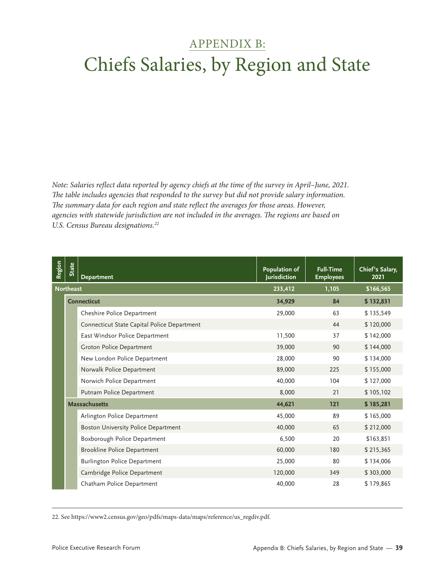## <span id="page-44-0"></span>APPENDIX B: Chiefs Salaries, by Region and State

*Note: Salaries reflect data reported by agency chiefs at the time of the survey in April–June, 2021. The table includes agencies that responded to the survey but did not provide salary information. The summary data for each region and state reflect the averages for those areas. However, agencies with statewide jurisdiction are not included in the averages. The regions are based on U.S. Census Bureau designations.22*

| <b>Region</b> | <b>State</b>     | <b>Department</b>                           | <b>Population of</b><br>Jurisdiction | <b>Full-Time</b><br><b>Employees</b> | Chief's Salary,<br>2021 |
|---------------|------------------|---------------------------------------------|--------------------------------------|--------------------------------------|-------------------------|
|               | <b>Northeast</b> |                                             | 233,412                              | 1,105                                | \$166,565               |
|               |                  | <b>Connecticut</b>                          | 34,929                               | 84                                   | \$132,831               |
|               |                  | Cheshire Police Department                  | 29,000                               | 63                                   | \$135,549               |
|               |                  | Connecticut State Capital Police Department |                                      | 44                                   | \$120,000               |
|               |                  | East Windsor Police Department              | 11,500                               | 37                                   | \$142,000               |
|               |                  | Groton Police Department                    | 39,000                               | 90                                   | \$144,000               |
|               |                  | New London Police Department                | 28,000                               | 90                                   | \$134,000               |
|               |                  | Norwalk Police Department                   | 89,000                               | 225                                  | \$155,000               |
|               |                  | Norwich Police Department                   | 40,000                               | 104                                  | \$127,000               |
|               |                  | Putnam Police Department                    | 8,000                                | 21                                   | \$105,102               |
|               |                  | <b>Massachusetts</b>                        | 44,621                               | 121                                  | \$185,281               |
|               |                  | Arlington Police Department                 | 45,000                               | 89                                   | \$165,000               |
|               |                  | Boston University Police Department         | 40,000                               | 65                                   | \$212,000               |
|               |                  | Boxborough Police Department                | 6,500                                | 20                                   | \$163,851               |
|               |                  | <b>Brookline Police Department</b>          | 60,000                               | 180                                  | \$215,365               |
|               |                  | Burlington Police Department                | 25,000                               | 80                                   | \$134,006               |
|               |                  | Cambridge Police Department                 | 120,000                              | 349                                  | \$303,000               |
|               |                  | Chatham Police Department                   | 40,000                               | 28                                   | \$179,865               |

22. See [https://www2.census.gov/geo/pdfs/maps-data/maps/reference/us\\_regdiv.pdf.](https://www2.census.gov/geo/pdfs/maps-data/maps/reference/us_regdiv.pdf)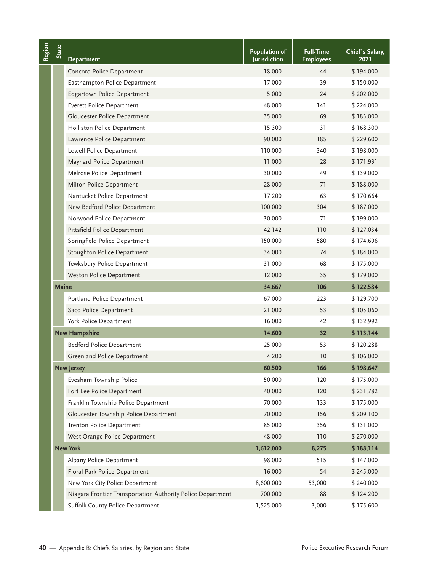| Region | State        | <b>Department</b>                                           | Population of<br>Jurisdiction | <b>Full-Time</b><br><b>Employees</b> | Chief's Salary,<br>2021         |
|--------|--------------|-------------------------------------------------------------|-------------------------------|--------------------------------------|---------------------------------|
|        |              | Concord Police Department                                   | 18,000                        | 44                                   | \$194,000                       |
|        |              | Easthampton Police Department                               | 17,000                        | 39                                   | \$150,000                       |
|        |              | Edgartown Police Department                                 | 5,000                         | 24                                   | \$202,000                       |
|        |              | Everett Police Department                                   | 48,000                        | 141                                  | \$224,000                       |
|        |              | Gloucester Police Department                                | 35,000                        | 69                                   | \$183,000                       |
|        |              | Holliston Police Department                                 | 15,300                        | 31                                   | \$168,300                       |
|        |              | Lawrence Police Department                                  | 90,000                        | 185                                  | \$229,600                       |
|        |              | Lowell Police Department                                    | 110,000                       | 340                                  | \$198,000                       |
|        |              | Maynard Police Department                                   | 11,000                        | 28                                   | \$171,931                       |
|        |              | Melrose Police Department                                   | 30,000                        | 49                                   | \$139,000                       |
|        |              | Milton Police Department                                    | 28,000                        | 71                                   | \$188,000                       |
|        |              | Nantucket Police Department                                 | 17,200                        | 63                                   | \$170,664                       |
|        |              | New Bedford Police Department                               | 100,000                       | 304                                  | \$187,000                       |
|        |              | Norwood Police Department                                   | 30,000                        | 71                                   | \$199,000                       |
|        |              | Pittsfield Police Department                                | 42,142                        | 110                                  | \$127,034                       |
|        |              | Springfield Police Department                               | 150,000                       | 580                                  | \$174,696                       |
|        |              | Stoughton Police Department                                 | 34,000                        | 74                                   | \$184,000                       |
|        |              | Tewksbury Police Department                                 | 31,000                        | 68                                   | \$175,000                       |
|        |              | Weston Police Department                                    | 12,000                        | 35                                   | \$179,000                       |
|        | <b>Maine</b> |                                                             | 34,667                        | 106                                  | \$122,584                       |
|        |              | Portland Police Department                                  | 67,000                        | 223                                  | \$129,700                       |
|        |              | Saco Police Department                                      | 21,000                        | 53                                   | \$105,060                       |
|        |              | York Police Department                                      | 16,000                        | 42                                   | \$132,992                       |
|        |              | <b>New Hampshire</b>                                        | 14,600                        | 32                                   | \$113,144                       |
|        |              | Bedford Police Department                                   | 25,000                        | 53                                   | \$120,288                       |
|        |              | Greenland Police Department                                 | 4,200                         | 10                                   | \$106,000                       |
|        |              | <b>New Jersey</b>                                           | 60,500                        | 166                                  | \$198,647                       |
|        |              | Evesham Township Police                                     | 50,000                        | 120                                  | \$175,000                       |
|        |              | Fort Lee Police Department                                  | 40,000                        | 120                                  | \$231,782                       |
|        |              | Franklin Township Police Department                         | 70,000                        | 133                                  | \$175,000                       |
|        |              | Gloucester Township Police Department                       | 70,000                        | 156                                  | \$209,100                       |
|        |              | Trenton Police Department                                   | 85,000                        | 356                                  | \$131,000                       |
|        |              | West Orange Police Department                               | 48,000                        | 110                                  | \$270,000                       |
|        |              | <b>New York</b>                                             | 1,612,000                     | 8,275                                | \$188,114                       |
|        |              | Albany Police Department                                    | 98,000                        | 515                                  | \$147,000                       |
|        |              | Floral Park Police Department                               | 16,000                        | 54                                   | \$245,000                       |
|        |              | New York City Police Department                             | 8,600,000                     | 53,000                               | \$240,000                       |
|        |              | Niagara Frontier Transportation Authority Police Department | 700,000                       | 88                                   | \$124,200                       |
|        |              | Suffolk County Police Department                            | 1,525,000                     | 3,000                                | \$175,600                       |
|        |              | 40 - Appendix B: Chiefs Salaries, by Region and State       |                               |                                      | Police Executive Research Forum |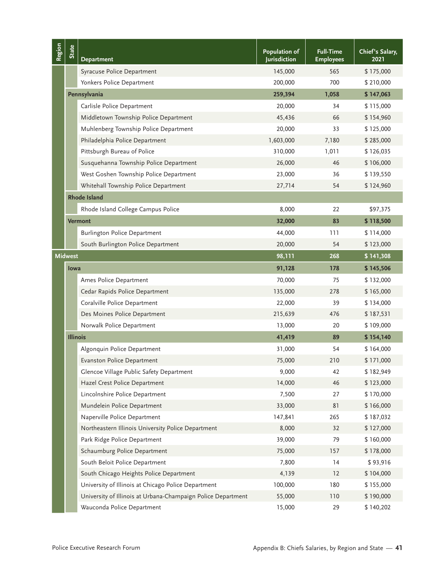| Region | State           | <b>Department</b>                                            | Population of<br><b>Jurisdiction</b>                  | <b>Full-Time</b><br><b>Employees</b> | Chief's Salary,<br>2021 |
|--------|-----------------|--------------------------------------------------------------|-------------------------------------------------------|--------------------------------------|-------------------------|
|        |                 | Syracuse Police Department                                   | 145,000                                               | 565                                  | \$175,000               |
|        |                 | Yonkers Police Department                                    | 200,000                                               | 700                                  | \$210,000               |
|        |                 | Pennsylvania                                                 | 259,394                                               | 1,058                                | \$147,063               |
|        |                 | Carlisle Police Department                                   | 20,000                                                | 34                                   | \$115,000               |
|        |                 | Middletown Township Police Department                        | 45,436                                                | 66                                   | \$154,960               |
|        |                 | Muhlenberg Township Police Department                        | 20,000                                                | 33                                   | \$125,000               |
|        |                 | Philadelphia Police Department                               | 1,603,000                                             | 7,180                                | \$285,000               |
|        |                 | Pittsburgh Bureau of Police                                  | 310,000                                               | 1,011                                | \$126,035               |
|        |                 | Susquehanna Township Police Department                       | 26,000                                                | 46                                   | \$106,000               |
|        |                 | West Goshen Township Police Department                       | 23,000                                                | 36                                   | \$139,550               |
|        |                 | Whitehall Township Police Department                         | 27,714                                                | 54                                   | \$124,960               |
|        |                 | <b>Rhode Island</b>                                          |                                                       |                                      |                         |
|        |                 | Rhode Island College Campus Police                           | 8,000                                                 | 22                                   | \$97,375                |
|        |                 | <b>Vermont</b>                                               | 32,000                                                | 83                                   | \$118,500               |
|        |                 | <b>Burlington Police Department</b>                          | 44,000                                                | 111                                  | \$114,000               |
|        |                 | South Burlington Police Department                           | 20,000                                                | 54                                   | \$123,000               |
|        | <b>Midwest</b>  |                                                              | 98,111                                                | 268                                  | \$141,308               |
|        | <b>lowa</b>     |                                                              | 91,128                                                | 178                                  | \$145,506               |
|        |                 | Ames Police Department                                       | 70,000                                                | 75                                   | \$132,000               |
|        |                 | Cedar Rapids Police Department                               | 135,000                                               | 278                                  | \$165,000               |
|        |                 | Coralville Police Department                                 | 22,000                                                | 39                                   | \$134,000               |
|        |                 | Des Moines Police Department                                 | 215,639                                               | 476                                  | \$187,531               |
|        |                 | Norwalk Police Department                                    | 13,000                                                | 20                                   | \$109,000               |
|        | <b>Illinois</b> |                                                              | 41,419                                                | 89                                   | \$154,140               |
|        |                 | Algonquin Police Department                                  | 31,000                                                | 54                                   | \$164,000               |
|        |                 | Evanston Police Department                                   | 75,000                                                | 210                                  | \$171,000               |
|        |                 | Glencoe Village Public Safety Department                     | 9,000                                                 | 42                                   | \$182,949               |
|        |                 | Hazel Crest Police Department                                | 14,000                                                | 46                                   | \$123,000               |
|        |                 | Lincolnshire Police Department                               | 7,500                                                 | 27                                   | \$170,000               |
|        |                 | Mundelein Police Department                                  | 33,000                                                | 81                                   | \$166,000               |
|        |                 | Naperville Police Department                                 | 147,841                                               | 265                                  | \$187,032               |
|        |                 | Northeastern Illinois University Police Department           | 8,000                                                 | 32                                   | \$127,000               |
|        |                 | Park Ridge Police Department                                 | 39,000                                                | 79                                   | \$160,000               |
|        |                 | Schaumburg Police Department                                 | 75,000                                                | 157                                  | \$178,000               |
|        |                 | South Beloit Police Department                               | 7,800                                                 | 14                                   | \$93,916                |
|        |                 | South Chicago Heights Police Department                      | 4,139                                                 | 12                                   | \$104,000               |
|        |                 | University of Illinois at Chicago Police Department          | 100,000                                               | 180                                  | \$155,000               |
|        |                 | University of Illinois at Urbana-Champaign Police Department | 55,000                                                | 110                                  | \$190,000               |
|        |                 | Wauconda Police Department                                   | 15,000                                                | 29                                   | \$140,202               |
|        |                 | Police Executive Research Forum                              | Appendix B: Chiefs Salaries, by Region and State - 41 |                                      |                         |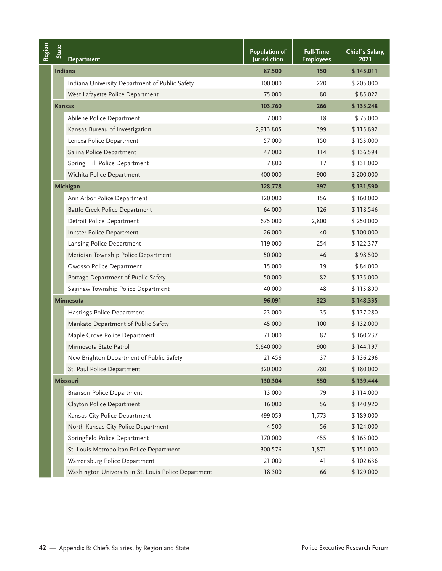| Region | State         | <b>Department</b>                                     | Population of<br>Jurisdiction | <b>Full-Time</b><br><b>Employees</b> | Chief's Salary,<br>2021         |
|--------|---------------|-------------------------------------------------------|-------------------------------|--------------------------------------|---------------------------------|
|        | Indiana       |                                                       | 87,500                        | 150                                  | \$145,011                       |
|        |               | Indiana University Department of Public Safety        | 100,000                       | 220                                  | \$205,000                       |
|        |               | West Lafayette Police Department                      | 75,000                        | 80                                   | \$85,022                        |
|        | <b>Kansas</b> |                                                       | 103,760                       | 266                                  | \$135,248                       |
|        |               | Abilene Police Department                             | 7,000                         | 18                                   | \$75,000                        |
|        |               | Kansas Bureau of Investigation                        | 2,913,805                     | 399                                  | \$115,892                       |
|        |               | Lenexa Police Department                              | 57,000                        | 150                                  | \$153,000                       |
|        |               | Salina Police Department                              | 47,000                        | 114                                  | \$136,594                       |
|        |               | Spring Hill Police Department                         | 7,800                         | 17                                   | \$131,000                       |
|        |               | Wichita Police Department                             | 400,000                       | 900                                  | \$200,000                       |
|        |               | Michigan                                              | 128,778                       | 397                                  | \$131,590                       |
|        |               | Ann Arbor Police Department                           | 120,000                       | 156                                  | \$160,000                       |
|        |               | <b>Battle Creek Police Department</b>                 | 64,000                        | 126                                  | \$118,546                       |
|        |               | Detroit Police Department                             | 675,000                       | 2,800                                | \$250,000                       |
|        |               | Inkster Police Department                             | 26,000                        | 40                                   | \$100,000                       |
|        |               | Lansing Police Department                             | 119,000                       | 254                                  | \$122,377                       |
|        |               | Meridian Township Police Department                   | 50,000                        | 46                                   | \$98,500                        |
|        |               | Owosso Police Department                              | 15,000                        | 19                                   | \$84,000                        |
|        |               | Portage Department of Public Safety                   | 50,000                        | 82                                   | \$135,000                       |
|        |               | Saginaw Township Police Department                    | 40,000                        | 48                                   | \$115,890                       |
|        |               | <b>Minnesota</b>                                      | 96,091                        | 323                                  | \$148,335                       |
|        |               | Hastings Police Department                            | 23,000                        | 35                                   | \$137,280                       |
|        |               | Mankato Department of Public Safety                   | 45,000                        | 100                                  | \$132,000                       |
|        |               | Maple Grove Police Department                         | 71,000                        | 87                                   | \$160,237                       |
|        |               | Minnesota State Patrol                                | 5,640,000                     | 900                                  | \$144,197                       |
|        |               | New Brighton Department of Public Safety              | 21,456                        | 37                                   | \$136,296                       |
|        |               | St. Paul Police Department                            | 320,000                       | 780                                  | \$180,000                       |
|        |               | <b>Missouri</b>                                       | 130,304                       | 550                                  | \$139,444                       |
|        |               | Branson Police Department                             | 13,000                        | 79                                   | \$114,000                       |
|        |               | Clayton Police Department                             | 16,000                        | 56                                   | \$140,920                       |
|        |               | Kansas City Police Department                         | 499,059                       | 1,773                                | \$189,000                       |
|        |               | North Kansas City Police Department                   | 4,500                         | 56                                   | \$124,000                       |
|        |               | Springfield Police Department                         | 170,000                       | 455                                  | \$165,000                       |
|        |               | St. Louis Metropolitan Police Department              | 300,576                       | 1,871                                | \$151,000                       |
|        |               | Warrensburg Police Department                         | 21,000                        | 41                                   | \$102,636                       |
|        |               | Washington University in St. Louis Police Department  | 18,300                        | 66                                   | \$129,000                       |
|        |               |                                                       |                               |                                      |                                 |
|        |               | 42 - Appendix B: Chiefs Salaries, by Region and State |                               |                                      | Police Executive Research Forum |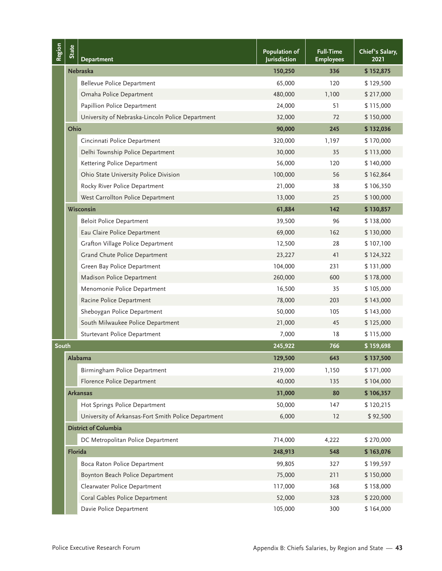| Region | State                                                                                    | <b>Department</b>                                   | <b>Population of</b><br><b>Jurisdiction</b> | <b>Full-Time</b><br><b>Employees</b> | Chief's Salary,<br>2021 |
|--------|------------------------------------------------------------------------------------------|-----------------------------------------------------|---------------------------------------------|--------------------------------------|-------------------------|
|        |                                                                                          | <b>Nebraska</b>                                     | 150,250                                     | 336                                  | \$152,875               |
|        |                                                                                          | <b>Bellevue Police Department</b>                   | 65,000                                      | 120                                  | \$129,500               |
|        |                                                                                          | Omaha Police Department                             | 480,000                                     | 1,100                                | \$217,000               |
|        |                                                                                          | Papillion Police Department                         | 24,000                                      | 51                                   | \$115,000               |
|        |                                                                                          | University of Nebraska-Lincoln Police Department    | 32,000                                      | 72                                   | \$150,000               |
|        | Ohio                                                                                     |                                                     | 90,000                                      | 245                                  | \$132,036               |
|        |                                                                                          | Cincinnati Police Department                        | 320,000                                     | 1,197                                | \$170,000               |
|        |                                                                                          | Delhi Township Police Department                    | 30,000                                      | 35                                   | \$113,000               |
|        |                                                                                          | Kettering Police Department                         | 56,000                                      | 120                                  | \$140,000               |
|        |                                                                                          | Ohio State University Police Division               | 100,000                                     | 56                                   | \$162,864               |
|        |                                                                                          | Rocky River Police Department                       | 21,000                                      | 38                                   | \$106,350               |
|        |                                                                                          | West Carrollton Police Department                   | 13,000                                      | 25                                   | \$100,000               |
|        |                                                                                          | Wisconsin                                           | 61,884                                      | 142                                  | \$130,857               |
|        |                                                                                          | <b>Beloit Police Department</b>                     | 39,500                                      | 96                                   | \$138,000               |
|        |                                                                                          | Eau Claire Police Department                        | 69,000                                      | 162                                  | \$130,000               |
|        |                                                                                          | Grafton Village Police Department                   | 12,500                                      | 28                                   | \$107,100               |
|        |                                                                                          | Grand Chute Police Department                       | 23,227                                      | 41                                   | \$124,322               |
|        |                                                                                          | Green Bay Police Department                         | 104,000                                     | 231                                  | \$131,000               |
|        |                                                                                          | Madison Police Department                           | 260,000                                     | 600                                  | \$178,000               |
|        |                                                                                          | Menomonie Police Department                         | 16,500                                      | 35                                   | \$105,000               |
|        |                                                                                          | Racine Police Department                            | 78,000                                      | 203                                  | \$143,000               |
|        |                                                                                          | Sheboygan Police Department                         | 50,000                                      | 105                                  | \$143,000               |
|        |                                                                                          | South Milwaukee Police Department                   | 21,000                                      | 45                                   | \$125,000               |
|        |                                                                                          | Sturtevant Police Department                        | 7,000                                       | 18                                   | \$115,000               |
| South  |                                                                                          |                                                     | 245,922                                     | 766                                  | \$159,698               |
|        |                                                                                          | Alabama                                             | 129,500                                     | 643                                  | \$137,500               |
|        |                                                                                          | Birmingham Police Department                        | 219,000                                     | 1,150                                | \$171,000               |
|        |                                                                                          | Florence Police Department                          | 40,000                                      | 135                                  | \$104,000               |
|        |                                                                                          | <b>Arkansas</b>                                     | 31,000                                      | 80                                   | \$106,357               |
|        |                                                                                          | Hot Springs Police Department                       | 50,000                                      | 147                                  | \$120,215               |
|        |                                                                                          | University of Arkansas-Fort Smith Police Department | 6,000                                       | 12                                   | \$92,500                |
|        |                                                                                          | <b>District of Columbia</b>                         |                                             |                                      |                         |
|        |                                                                                          | DC Metropolitan Police Department                   | 714,000                                     | 4,222                                | \$270,000               |
|        | Florida                                                                                  |                                                     | 248,913                                     | 548                                  | \$163,076               |
|        |                                                                                          | Boca Raton Police Department                        | 99,805                                      | 327                                  | \$199,597               |
|        |                                                                                          | Boynton Beach Police Department                     | 75,000                                      | 211                                  | \$150,000               |
|        |                                                                                          | Clearwater Police Department                        | 117,000                                     | 368                                  | \$158,000               |
|        |                                                                                          | Coral Gables Police Department                      | 52,000                                      | 328                                  | \$220,000               |
|        |                                                                                          | Davie Police Department                             | 105,000                                     | 300                                  | \$164,000               |
|        |                                                                                          |                                                     |                                             |                                      |                         |
|        | Police Executive Research Forum<br>Appendix B: Chiefs Salaries, by Region and State - 43 |                                                     |                                             |                                      |                         |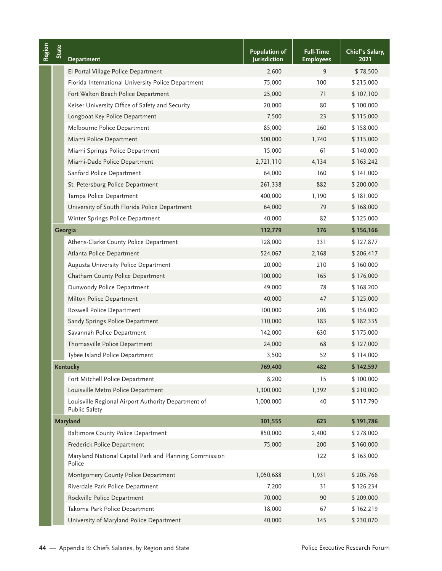| Region | <b>State</b> | <b>Department</b>                                                           | Population of<br>Jurisdiction | <b>Full-Time</b><br><b>Employees</b> | Chief's Salary,<br>2021         |
|--------|--------------|-----------------------------------------------------------------------------|-------------------------------|--------------------------------------|---------------------------------|
|        |              | El Portal Village Police Department                                         | 2,600                         | 9                                    | \$78,500                        |
|        |              | Florida International University Police Department                          | 75,000                        | 100                                  | \$215,000                       |
|        |              | Fort Walton Beach Police Department                                         | 25,000                        | 71                                   | \$107,100                       |
|        |              | Keiser University Office of Safety and Security                             | 20,000                        | 80                                   | \$100,000                       |
|        |              | Longboat Key Police Department                                              | 7,500                         | 23                                   | \$115,000                       |
|        |              | Melbourne Police Department                                                 | 85,000                        | 260                                  | \$158,000                       |
|        |              | Miami Police Department                                                     | 500,000                       | 1,740                                | \$315,000                       |
|        |              | Miami Springs Police Department                                             | 15,000                        | 61                                   | \$140,000                       |
|        |              | Miami-Dade Police Department                                                | 2,721,110                     | 4,134                                | \$163,242                       |
|        |              | Sanford Police Department                                                   | 64,000                        | 160                                  | \$141,000                       |
|        |              | St. Petersburg Police Department                                            | 261,338                       | 882                                  | \$200,000                       |
|        |              | Tampa Police Department                                                     | 400,000                       | 1,190                                | \$181,000                       |
|        |              | University of South Florida Police Department                               | 64,000                        | 79                                   | \$168,000                       |
|        |              | Winter Springs Police Department                                            | 40,000                        | 82                                   | \$125,000                       |
|        |              | Georgia                                                                     | 112,779                       | 376                                  | \$156,166                       |
|        |              | Athens-Clarke County Police Department                                      | 128,000                       | 331                                  | \$127,877                       |
|        |              | Atlanta Police Department                                                   | 524,067                       | 2,168                                | \$206,417                       |
|        |              | Augusta University Police Department                                        | 20,000                        | 210                                  | \$160,000                       |
|        |              | Chatham County Police Department                                            | 100,000                       | 165                                  | \$176,000                       |
|        |              | Dunwoody Police Department                                                  | 49,000                        | 78                                   | \$168,200                       |
|        |              | Milton Police Department                                                    | 40,000                        | 47                                   | \$125,000                       |
|        |              | Roswell Police Department                                                   | 100,000                       | 206                                  | \$156,000                       |
|        |              | Sandy Springs Police Department                                             | 110,000                       | 183                                  | \$182,335                       |
|        |              | Savannah Police Department                                                  | 142,000                       | 630                                  | \$175,000                       |
|        |              | Thomasville Police Department                                               | 24,000                        | 68                                   | \$127,000                       |
|        |              | Tybee Island Police Department                                              | 3,500                         | 52                                   | \$114,000                       |
|        |              | <b>Kentucky</b>                                                             | 769,400                       | 482                                  | \$142,597                       |
|        |              | Fort Mitchell Police Department                                             | 8,200                         | 15                                   | \$100,000                       |
|        |              | Louisville Metro Police Department                                          | 1,300,000                     | 1,392                                | \$210,000                       |
|        |              | Louisville Regional Airport Authority Department of<br><b>Public Safety</b> | 1,000,000                     | 40                                   | \$117,790                       |
|        |              | <b>Maryland</b>                                                             | 301,555                       | 623                                  | \$191,786                       |
|        |              | <b>Baltimore County Police Department</b>                                   | 850,000                       | 2,400                                | \$278,000                       |
|        |              | Frederick Police Department                                                 | 75,000                        | 200                                  | \$160,000                       |
|        |              | Maryland National Capital Park and Planning Commission<br>Police            |                               | 122                                  | \$163,000                       |
|        |              | Montgomery County Police Department                                         | 1,050,688                     | 1,931                                | \$205,766                       |
|        |              | Riverdale Park Police Department                                            | 7,200                         | 31                                   | \$126,234                       |
|        |              | Rockville Police Department                                                 | 70,000                        | 90                                   | \$209,000                       |
|        |              | Takoma Park Police Department                                               | 18,000                        | 67                                   | \$162,219                       |
|        |              | University of Maryland Police Department                                    | 40,000                        | 145                                  | \$230,070                       |
| 44 -   |              | Appendix B: Chiefs Salaries, by Region and State                            |                               |                                      | Police Executive Research Forum |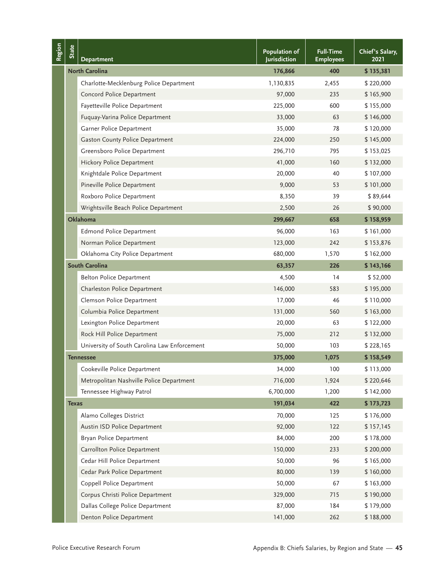| Region | State                                                                                    | Department                                   | Population of<br><b>Jurisdiction</b> | <b>Full-Time</b><br><b>Employees</b> | Chief's Salary,<br>2021 |
|--------|------------------------------------------------------------------------------------------|----------------------------------------------|--------------------------------------|--------------------------------------|-------------------------|
|        |                                                                                          | <b>North Carolina</b>                        | 176,866                              | 400                                  | \$135,381               |
|        |                                                                                          | Charlotte-Mecklenburg Police Department      | 1,130,835                            | 2,455                                | \$220,000               |
|        |                                                                                          | Concord Police Department                    | 97,000                               | 235                                  | \$165,900               |
|        |                                                                                          | Fayetteville Police Department               | 225,000                              | 600                                  | \$155,000               |
|        |                                                                                          | Fuquay-Varina Police Department              | 33,000                               | 63                                   | \$146,000               |
|        |                                                                                          | Garner Police Department                     | 35,000                               | 78                                   | \$120,000               |
|        |                                                                                          | <b>Gaston County Police Department</b>       | 224,000                              | 250                                  | \$145,000               |
|        |                                                                                          | Greensboro Police Department                 | 296,710                              | 795                                  | \$153,025               |
|        |                                                                                          | Hickory Police Department                    | 41,000                               | 160                                  | \$132,000               |
|        |                                                                                          | Knightdale Police Department                 | 20,000                               | 40                                   | \$107,000               |
|        |                                                                                          | Pineville Police Department                  | 9,000                                | 53                                   | \$101,000               |
|        |                                                                                          | Roxboro Police Department                    | 8,350                                | 39                                   | \$89,644                |
|        |                                                                                          | Wrightsville Beach Police Department         | 2,500                                | 26                                   | \$90,000                |
|        |                                                                                          | Oklahoma                                     | 299,667                              | 658                                  | \$158,959               |
|        |                                                                                          | <b>Edmond Police Department</b>              | 96,000                               | 163                                  | \$161,000               |
|        |                                                                                          | Norman Police Department                     | 123,000                              | 242                                  | \$153,876               |
|        |                                                                                          | Oklahoma City Police Department              | 680,000                              | 1,570                                | \$162,000               |
|        |                                                                                          | South Carolina                               | 63,357                               | 226                                  | \$143,166               |
|        |                                                                                          | <b>Belton Police Department</b>              | 4,500                                | 14                                   | \$52,000                |
|        |                                                                                          | Charleston Police Department                 | 146,000                              | 583                                  | \$195,000               |
|        |                                                                                          | Clemson Police Department                    | 17,000                               | 46                                   | \$110,000               |
|        |                                                                                          | Columbia Police Department                   | 131,000                              | 560                                  | \$163,000               |
|        |                                                                                          | Lexington Police Department                  | 20,000                               | 63                                   | \$122,000               |
|        |                                                                                          | Rock Hill Police Department                  | 75,000                               | 212                                  | \$132,000               |
|        |                                                                                          | University of South Carolina Law Enforcement | 50,000                               | 103                                  | \$228,165               |
|        |                                                                                          | Tennessee                                    | 375,000                              | 1,075                                | \$158,549               |
|        |                                                                                          | Cookeville Police Department                 | 34,000                               | 100                                  | \$113,000               |
|        |                                                                                          | Metropolitan Nashville Police Department     | 716,000                              | 1,924                                | \$220,646               |
|        |                                                                                          | Tennessee Highway Patrol                     | 6,700,000                            | 1,200                                | \$142,000               |
|        | <b>Texas</b>                                                                             |                                              | 191,034                              | 422                                  | \$173,723               |
|        |                                                                                          | Alamo Colleges District                      | 70,000                               | 125                                  | \$176,000               |
|        |                                                                                          | Austin ISD Police Department                 | 92,000                               | 122                                  | \$157,145               |
|        |                                                                                          | Bryan Police Department                      | 84,000                               | 200                                  | \$178,000               |
|        |                                                                                          | Carrollton Police Department                 | 150,000                              | 233                                  | \$200,000               |
|        |                                                                                          | Cedar Hill Police Department                 | 50,000                               | 96                                   | \$165,000               |
|        |                                                                                          | Cedar Park Police Department                 | 80,000                               | 139                                  | \$160,000               |
|        |                                                                                          | Coppell Police Department                    | 50,000                               | 67                                   | \$163,000               |
|        |                                                                                          | Corpus Christi Police Department             | 329,000                              | 715                                  | \$190,000               |
|        |                                                                                          | Dallas College Police Department             | 87,000                               | 184                                  | \$179,000               |
|        |                                                                                          | Denton Police Department                     | 141,000                              | 262                                  | \$188,000               |
|        |                                                                                          |                                              |                                      |                                      |                         |
|        | Police Executive Research Forum<br>Appendix B: Chiefs Salaries, by Region and State - 45 |                                              |                                      |                                      |                         |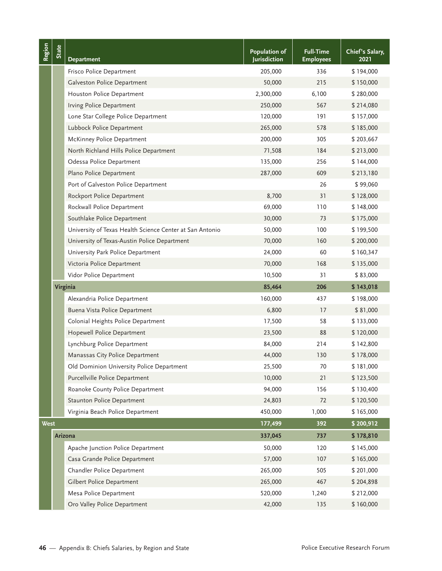| Region      | State | <b>Department</b>                                        | Population of<br><b>Jurisdiction</b> | <b>Full-Time</b><br><b>Employees</b> | Chief's Salary,<br>2021         |
|-------------|-------|----------------------------------------------------------|--------------------------------------|--------------------------------------|---------------------------------|
|             |       | Frisco Police Department                                 | 205,000                              | 336                                  | \$194,000                       |
|             |       | Galveston Police Department                              | 50,000                               | 215                                  | \$150,000                       |
|             |       | Houston Police Department                                | 2,300,000                            | 6,100                                | \$280,000                       |
|             |       | Irving Police Department                                 | 250,000                              | 567                                  | \$214,080                       |
|             |       | Lone Star College Police Department                      | 120,000                              | 191                                  | \$157,000                       |
|             |       | Lubbock Police Department                                | 265,000                              | 578                                  | \$185,000                       |
|             |       | McKinney Police Department                               | 200,000                              | 305                                  | \$203,667                       |
|             |       | North Richland Hills Police Department                   | 71,508                               | 184                                  | \$213,000                       |
|             |       | Odessa Police Department                                 | 135,000                              | 256                                  | \$144,000                       |
|             |       | Plano Police Department                                  | 287,000                              | 609                                  | \$213,180                       |
|             |       | Port of Galveston Police Department                      |                                      | 26                                   | \$99,060                        |
|             |       | Rockport Police Department                               | 8,700                                | 31                                   | \$128,000                       |
|             |       | Rockwall Police Department                               | 69,000                               | 110                                  | \$148,000                       |
|             |       | Southlake Police Department                              | 30,000                               | 73                                   | \$175,000                       |
|             |       | University of Texas Health Science Center at San Antonio | 50,000                               | 100                                  | \$199,500                       |
|             |       | University of Texas-Austin Police Department             | 70,000                               | 160                                  | \$200,000                       |
|             |       | University Park Police Department                        | 24,000                               | 60                                   | \$160,347                       |
|             |       | Victoria Police Department                               | 70,000                               | 168                                  | \$135,000                       |
|             |       | Vidor Police Department                                  | 10,500                               | 31                                   | \$83,000                        |
|             |       | Virginia                                                 | 85,464                               | 206                                  | \$143,018                       |
|             |       | Alexandria Police Department                             | 160,000                              | 437                                  | \$198,000                       |
|             |       | Buena Vista Police Department                            | 6,800                                | 17                                   | \$81,000                        |
|             |       | Colonial Heights Police Department                       | 17,500                               | 58                                   | \$133,000                       |
|             |       | Hopewell Police Department                               | 23,500                               | 88                                   | \$120,000                       |
|             |       | Lynchburg Police Department                              | 84,000                               | 214                                  | \$142,800                       |
|             |       | Manassas City Police Department                          | 44,000                               | 130                                  | \$178,000                       |
|             |       | Old Dominion University Police Department                | 25,500                               | 70                                   | \$181,000                       |
|             |       | Purcellville Police Department                           | 10,000                               | 21                                   | \$123,500                       |
|             |       | Roanoke County Police Department                         | 94,000                               | 156                                  | \$130,400                       |
|             |       | Staunton Police Department                               | 24,803                               | 72                                   | \$120,500                       |
|             |       | Virginia Beach Police Department                         | 450,000                              | 1,000                                | \$165,000                       |
| <b>West</b> |       |                                                          | 177,499                              | 392                                  | \$200,912                       |
|             |       | Arizona                                                  | 337,045                              | 737                                  | \$178,810                       |
|             |       | Apache Junction Police Department                        | 50,000                               | 120                                  | \$145,000                       |
|             |       | Casa Grande Police Department                            | 57,000                               | 107                                  | \$165,000                       |
|             |       | Chandler Police Department                               | 265,000                              | 505                                  | \$201,000                       |
|             |       | Gilbert Police Department                                | 265,000                              | 467                                  | \$204,898                       |
|             |       | Mesa Police Department                                   | 520,000                              | 1,240                                | \$212,000                       |
|             |       | Oro Valley Police Department                             | 42,000                               | 135                                  | \$160,000                       |
| 46 -        |       | - Appendix B: Chiefs Salaries, by Region and State       |                                      |                                      | Police Executive Research Forum |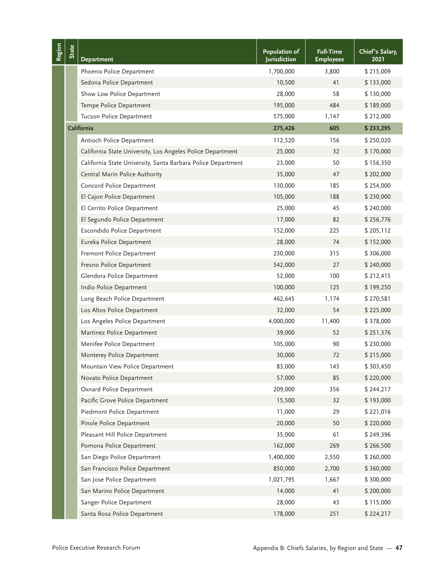| Region | <b>State</b>                                                                             | <b>Department</b>                                            | <b>Population of</b><br>Jurisdiction | <b>Full-Time</b><br><b>Employees</b> | Chief's Salary,<br>2021 |  |
|--------|------------------------------------------------------------------------------------------|--------------------------------------------------------------|--------------------------------------|--------------------------------------|-------------------------|--|
|        |                                                                                          | Phoenix Police Department                                    | 1,700,000                            | 3,800                                | \$215,009               |  |
|        |                                                                                          | Sedona Police Department                                     | 10,500                               | 41                                   | \$133,000               |  |
|        |                                                                                          | Show Low Police Department                                   | 28,000                               | 58                                   | \$130,000               |  |
|        |                                                                                          | Tempe Police Department                                      | 195,000                              | 484                                  | \$189,000               |  |
|        |                                                                                          | Tucson Police Department                                     | 575,000                              | 1,147                                | \$212,000               |  |
|        |                                                                                          | California                                                   | 275,426                              | 605                                  | \$233,295               |  |
|        |                                                                                          | Antioch Police Department                                    | 112,520                              | 156                                  | \$250,020               |  |
|        |                                                                                          | California State University, Los Angeles Police Department   | 25,000                               | 32                                   | \$170,000               |  |
|        |                                                                                          | California State University, Santa Barbara Police Department | 23,000                               | 50                                   | \$156,350               |  |
|        |                                                                                          | Central Marin Police Authority                               | 35,000                               | 47                                   | \$202,000               |  |
|        |                                                                                          | Concord Police Department                                    | 130,000                              | 185                                  | \$254,000               |  |
|        |                                                                                          | El Cajon Police Department                                   | 105,000                              | 188                                  | \$230,000               |  |
|        |                                                                                          | El Cerrito Police Department                                 | 25,000                               | 45                                   | \$240,000               |  |
|        |                                                                                          | El Segundo Police Department                                 | 17,000                               | 82                                   | \$256,776               |  |
|        |                                                                                          | Escondido Police Department                                  | 152,000                              | 225                                  | \$205,112               |  |
|        |                                                                                          | Eureka Police Department                                     | 28,000                               | 74                                   | \$152,000               |  |
|        |                                                                                          | Fremont Police Department                                    | 230,000                              | 315                                  | \$306,000               |  |
|        |                                                                                          | Fresno Police Department                                     | 542,000                              | 27                                   | \$240,000               |  |
|        |                                                                                          | Glendora Police Department                                   | 52,000                               | 100                                  | \$212,415               |  |
|        |                                                                                          | Indio Police Department                                      | 100,000                              | 125                                  | \$199,250               |  |
|        |                                                                                          | Long Beach Police Department                                 | 462,645                              | 1,174                                | \$270,581               |  |
|        |                                                                                          | Los Altos Police Department                                  | 32,000                               | 54                                   | \$225,000               |  |
|        |                                                                                          | Los Angeles Police Department                                | 4,000,000                            | 11,400                               | \$378,000               |  |
|        |                                                                                          | Martinez Police Department                                   | 39,000                               | 52                                   | \$251,376               |  |
|        |                                                                                          | Menifee Police Department                                    | 105,000                              | 90                                   | \$230,000               |  |
|        |                                                                                          | Monterey Police Department                                   | 30,000                               | 72                                   | \$215,000               |  |
|        |                                                                                          | Mountain View Police Department                              | 83,000                               | 143                                  | \$303,450               |  |
|        |                                                                                          | Novato Police Department                                     | 57,000                               | 85                                   | \$220,000               |  |
|        |                                                                                          | Oxnard Police Department                                     | 209,000                              | 356                                  | \$244,217               |  |
|        |                                                                                          | Pacific Grove Police Department                              | 15,500                               | 32                                   | \$193,000               |  |
|        |                                                                                          | Piedmont Police Department                                   | 11,000                               | 29                                   | \$221,016               |  |
|        |                                                                                          | Pinole Police Department                                     | 20,000                               | 50                                   | \$220,000               |  |
|        |                                                                                          | Pleasant Hill Police Department                              | 35,000                               | 61                                   | \$249,396               |  |
|        |                                                                                          | Pomona Police Department                                     | 162,000                              | 269                                  | \$266,500               |  |
|        |                                                                                          | San Diego Police Department                                  | 1,400,000                            | 2,550                                | \$260,000               |  |
|        |                                                                                          | San Francisco Police Department                              | 850,000                              | 2,700                                | \$360,000               |  |
|        |                                                                                          | San Jose Police Department                                   | 1,021,795                            | 1,667                                | \$300,000               |  |
|        |                                                                                          | San Marino Police Department                                 | 14,000                               | 41                                   | \$200,000               |  |
|        |                                                                                          | Sanger Police Department                                     | 28,000                               | 43                                   | \$115,000               |  |
|        |                                                                                          | Santa Rosa Police Department                                 | 178,000                              | 251                                  | \$224,217               |  |
|        | Police Executive Research Forum<br>Appendix B: Chiefs Salaries, by Region and State - 47 |                                                              |                                      |                                      |                         |  |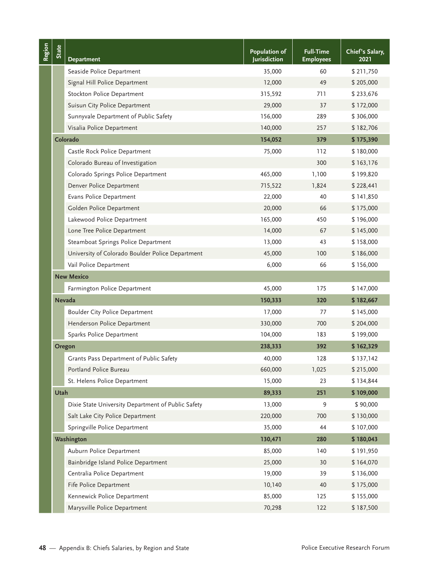| Region | State | <b>Department</b>                                     | Population of<br>Jurisdiction | <b>Full-Time</b><br><b>Employees</b> | Chief's Salary,<br>2021         |
|--------|-------|-------------------------------------------------------|-------------------------------|--------------------------------------|---------------------------------|
|        |       | Seaside Police Department                             | 35,000                        | 60                                   | \$211,750                       |
|        |       | Signal Hill Police Department                         | 12,000                        | 49                                   | \$205,000                       |
|        |       | Stockton Police Department                            | 315,592                       | 711                                  | \$233,676                       |
|        |       | Suisun City Police Department                         | 29,000                        | 37                                   | \$172,000                       |
|        |       | Sunnyvale Department of Public Safety                 | 156,000                       | 289                                  | \$306,000                       |
|        |       | Visalia Police Department                             | 140,000                       | 257                                  | \$182,706                       |
|        |       | Colorado                                              | 154,052                       | 379                                  | \$175,390                       |
|        |       | Castle Rock Police Department                         | 75,000                        | 112                                  | \$180,000                       |
|        |       | Colorado Bureau of Investigation                      |                               | 300                                  | \$163,176                       |
|        |       | Colorado Springs Police Department                    | 465,000                       | 1,100                                | \$199,820                       |
|        |       | Denver Police Department                              | 715,522                       | 1,824                                | \$228,441                       |
|        |       | Evans Police Department                               | 22,000                        | 40                                   | \$141,850                       |
|        |       | Golden Police Department                              | 20,000                        | 66                                   | \$175,000                       |
|        |       | Lakewood Police Department                            | 165,000                       | 450                                  | \$196,000                       |
|        |       | Lone Tree Police Department                           | 14,000                        | 67                                   | \$145,000                       |
|        |       | Steamboat Springs Police Department                   | 13,000                        | 43                                   | \$158,000                       |
|        |       | University of Colorado Boulder Police Department      | 45,000                        | 100                                  | \$186,000                       |
|        |       | Vail Police Department                                | 6,000                         | 66                                   | \$156,000                       |
|        |       | <b>New Mexico</b>                                     |                               |                                      |                                 |
|        |       | Farmington Police Department                          | 45,000                        | 175                                  | \$147,000                       |
|        |       | <b>Nevada</b>                                         | 150,333                       | 320                                  | \$182,667                       |
|        |       | <b>Boulder City Police Department</b>                 | 17,000                        | 77                                   | \$145,000                       |
|        |       | Henderson Police Department                           | 330,000                       | 700                                  | \$204,000                       |
|        |       | Sparks Police Department                              | 104,000                       | 183                                  | \$199,000                       |
|        |       | Oregon                                                | 238,333                       | 392                                  | \$162,329                       |
|        |       | Grants Pass Department of Public Safety               | 40,000                        | 128                                  | \$137,142                       |
|        |       | Portland Police Bureau                                | 660,000                       | 1,025                                | \$215,000                       |
|        |       | St. Helens Police Department                          | 15,000                        | 23                                   | \$134,844                       |
|        | Utah  |                                                       | 89,333                        | 251                                  | \$109,000                       |
|        |       | Dixie State University Department of Public Safety    | 13,000                        | 9                                    | \$90,000                        |
|        |       | Salt Lake City Police Department                      | 220,000                       | 700                                  | \$130,000                       |
|        |       | Springville Police Department                         | 35,000                        | 44                                   | \$107,000                       |
|        |       | Washington                                            | 130,471                       | 280                                  | \$180,043                       |
|        |       | Auburn Police Department                              | 85,000                        | 140                                  | \$191,950                       |
|        |       | Bainbridge Island Police Department                   | 25,000                        | 30                                   | \$164,070                       |
|        |       | Centralia Police Department                           | 19,000                        | 39                                   | \$136,000                       |
|        |       | Fife Police Department                                | 10,140                        | 40                                   | \$175,000                       |
|        |       | Kennewick Police Department                           | 85,000                        | 125                                  | \$155,000                       |
|        |       | Marysville Police Department                          | 70,298                        | 122                                  | \$187,500                       |
|        |       | 48 — Appendix B: Chiefs Salaries, by Region and State |                               |                                      | Police Executive Research Forum |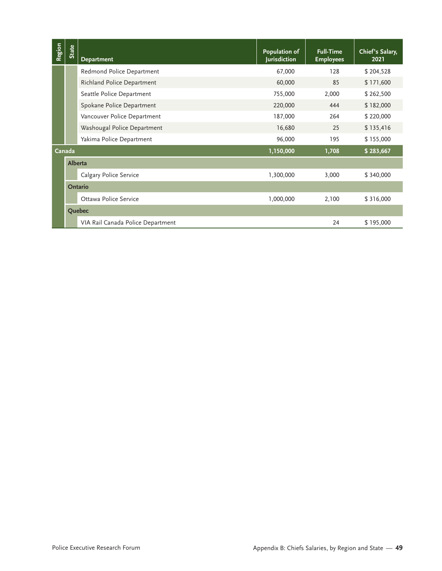| Region | <b>State</b> | <b>Department</b>                 | Population of<br>Jurisdiction                         | <b>Full-Time</b><br><b>Employees</b> | Chief's Salary,<br>2021 |
|--------|--------------|-----------------------------------|-------------------------------------------------------|--------------------------------------|-------------------------|
|        |              | Redmond Police Department         | 67,000                                                | 128                                  | \$204,528               |
|        |              | Richland Police Department        | 60,000                                                | 85                                   | \$171,600               |
|        |              | Seattle Police Department         | 755,000                                               | 2,000                                | \$262,500               |
|        |              | Spokane Police Department         | 220,000                                               | 444                                  | \$182,000               |
|        |              | Vancouver Police Department       | 187,000                                               | 264                                  | \$220,000               |
|        |              | Washougal Police Department       | 16,680                                                | 25                                   | \$135,416               |
|        |              | Yakima Police Department          | 96,000                                                | 195                                  | \$155,000               |
|        | Canada       |                                   | 1,150,000                                             | 1,708                                | \$283,667               |
|        | Alberta      |                                   |                                                       |                                      |                         |
|        |              | Calgary Police Service            | 1,300,000                                             | 3,000                                | \$340,000               |
|        |              | Ontario                           |                                                       |                                      |                         |
|        |              | Ottawa Police Service             | 1,000,000                                             | 2,100                                | \$316,000               |
|        |              | Quebec                            |                                                       |                                      |                         |
|        |              | VIA Rail Canada Police Department |                                                       | 24                                   | \$195,000               |
|        |              |                                   |                                                       |                                      |                         |
|        |              | Police Executive Research Forum   | Appendix B: Chiefs Salaries, by Region and State - 49 |                                      |                         |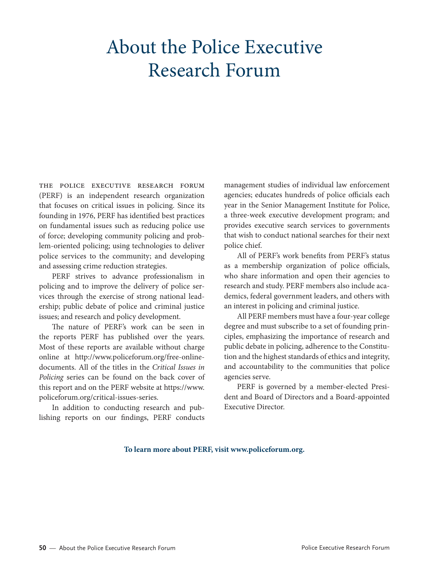# About the Police Executive Research Forum

The Police Executive Research Forum (PERF) is an independent research organization that focuses on critical issues in policing. Since its founding in 1976, PERF has identified best practices on fundamental issues such as reducing police use of force; developing community policing and problem-oriented policing; using technologies to deliver police services to the community; and developing and assessing crime reduction strategies.

PERF strives to advance professionalism in policing and to improve the delivery of police services through the exercise of strong national leadership; public debate of police and criminal justice issues; and research and policy development.

The nature of PERF's work can be seen in the reports PERF has published over the years. Most of these reports are available without charge online at [http://www.policeforum.org/free-online](http://www.policeforum.org/free-online-documents)[documents.](http://www.policeforum.org/free-online-documents) All of the titles in the *Critical Issues in Policing* series can be found on the back cover of this report and on the PERF website at [https://www.](https://www.policeforum.org/critical-issues-series) [policeforum.org/critical-issues-series](https://www.policeforum.org/critical-issues-series).

In addition to conducting research and publishing reports on our findings, PERF conducts management studies of individual law enforcement agencies; educates hundreds of police officials each year in the Senior Management Institute for Police, a three-week executive development program; and provides executive search services to governments that wish to conduct national searches for their next police chief.

All of PERF's work benefits from PERF's status as a membership organization of police officials, who share information and open their agencies to research and study. PERF members also include academics, federal government leaders, and others with an interest in policing and criminal justice.

All PERF members must have a four-year college degree and must subscribe to a set of founding principles, emphasizing the importance of research and public debate in policing, adherence to the Constitution and the highest standards of ethics and integrity, and accountability to the communities that police agencies serve.

PERF is governed by a member-elected President and Board of Directors and a Board-appointed Executive Director.

#### **To learn more about PERF, visit [www.policeforum.org](http://www.policeforum.org).**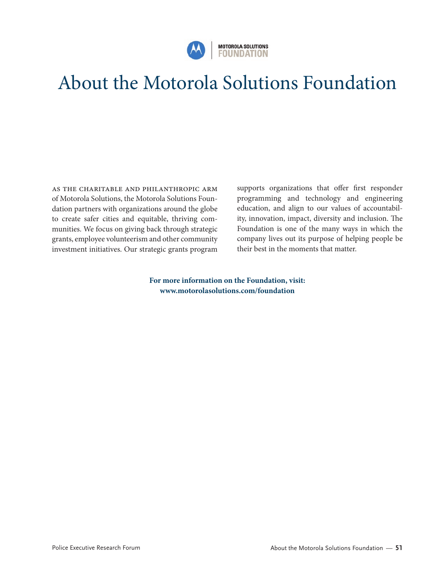

# About the Motorola Solutions Foundation

As the charitable and philanthropic arm of Motorola Solutions, the Motorola Solutions Foundation partners with organizations around the globe to create safer cities and equitable, thriving communities. We focus on giving back through strategic grants, employee volunteerism and other community investment initiatives. Our strategic grants program

supports organizations that offer first responder programming and technology and engineering education, and align to our values of accountability, innovation, impact, diversity and inclusion. The Foundation is one of the many ways in which the company lives out its purpose of helping people be their best in the moments that matter.

**For more information on the Foundation, visit: [www.motorolasolutions.com/foundation](http://www.motorolasolutions.com/foundation)**